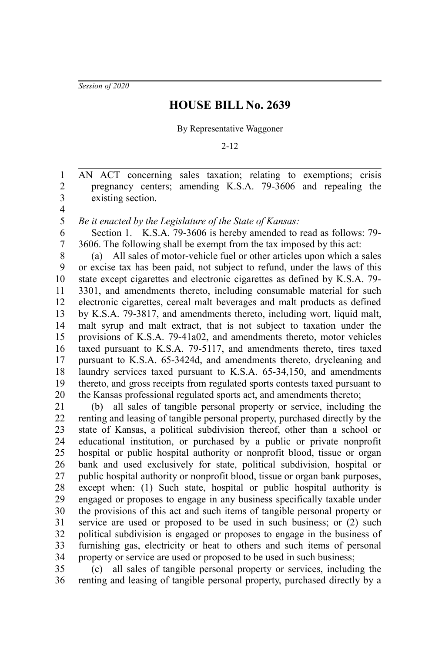*Session of 2020*

## **HOUSE BILL No. 2639**

By Representative Waggoner

2-12

AN ACT concerning sales taxation; relating to exemptions; crisis pregnancy centers; amending K.S.A. 79-3606 and repealing the existing section. 1 2 3

4 5

*Be it enacted by the Legislature of the State of Kansas:*

Section 1. K.S.A. 79-3606 is hereby amended to read as follows: 79- 3606. The following shall be exempt from the tax imposed by this act: 6 7

(a) All sales of motor-vehicle fuel or other articles upon which a sales or excise tax has been paid, not subject to refund, under the laws of this state except cigarettes and electronic cigarettes as defined by K.S.A. 79- 3301, and amendments thereto, including consumable material for such electronic cigarettes, cereal malt beverages and malt products as defined by K.S.A. 79-3817, and amendments thereto, including wort, liquid malt, malt syrup and malt extract, that is not subject to taxation under the provisions of K.S.A. 79-41a02, and amendments thereto, motor vehicles taxed pursuant to K.S.A. 79-5117, and amendments thereto, tires taxed pursuant to K.S.A. 65-3424d, and amendments thereto, drycleaning and laundry services taxed pursuant to K.S.A. 65-34,150, and amendments thereto, and gross receipts from regulated sports contests taxed pursuant to the Kansas professional regulated sports act, and amendments thereto; 8 9 10 11 12 13 14 15 16 17 18 19 20

(b) all sales of tangible personal property or service, including the renting and leasing of tangible personal property, purchased directly by the state of Kansas, a political subdivision thereof, other than a school or educational institution, or purchased by a public or private nonprofit hospital or public hospital authority or nonprofit blood, tissue or organ bank and used exclusively for state, political subdivision, hospital or public hospital authority or nonprofit blood, tissue or organ bank purposes, except when: (1) Such state, hospital or public hospital authority is engaged or proposes to engage in any business specifically taxable under the provisions of this act and such items of tangible personal property or service are used or proposed to be used in such business; or (2) such political subdivision is engaged or proposes to engage in the business of furnishing gas, electricity or heat to others and such items of personal property or service are used or proposed to be used in such business; 21 22 23 24 25 26 27 28 29 30 31 32 33 34

(c) all sales of tangible personal property or services, including the renting and leasing of tangible personal property, purchased directly by a 35 36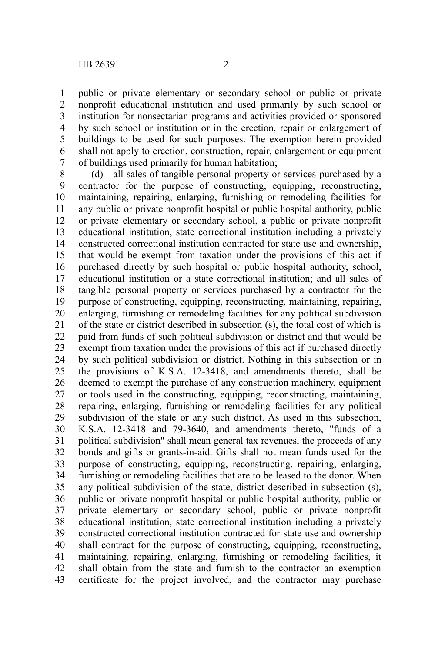public or private elementary or secondary school or public or private nonprofit educational institution and used primarily by such school or institution for nonsectarian programs and activities provided or sponsored by such school or institution or in the erection, repair or enlargement of buildings to be used for such purposes. The exemption herein provided shall not apply to erection, construction, repair, enlargement or equipment of buildings used primarily for human habitation; 1 2 3 4 5 6 7

(d) all sales of tangible personal property or services purchased by a contractor for the purpose of constructing, equipping, reconstructing, maintaining, repairing, enlarging, furnishing or remodeling facilities for any public or private nonprofit hospital or public hospital authority, public or private elementary or secondary school, a public or private nonprofit educational institution, state correctional institution including a privately constructed correctional institution contracted for state use and ownership, that would be exempt from taxation under the provisions of this act if purchased directly by such hospital or public hospital authority, school, educational institution or a state correctional institution; and all sales of tangible personal property or services purchased by a contractor for the purpose of constructing, equipping, reconstructing, maintaining, repairing, enlarging, furnishing or remodeling facilities for any political subdivision of the state or district described in subsection (s), the total cost of which is paid from funds of such political subdivision or district and that would be exempt from taxation under the provisions of this act if purchased directly by such political subdivision or district. Nothing in this subsection or in the provisions of K.S.A. 12-3418, and amendments thereto, shall be deemed to exempt the purchase of any construction machinery, equipment or tools used in the constructing, equipping, reconstructing, maintaining, repairing, enlarging, furnishing or remodeling facilities for any political subdivision of the state or any such district. As used in this subsection, K.S.A. 12-3418 and 79-3640, and amendments thereto, "funds of a political subdivision" shall mean general tax revenues, the proceeds of any bonds and gifts or grants-in-aid. Gifts shall not mean funds used for the purpose of constructing, equipping, reconstructing, repairing, enlarging, furnishing or remodeling facilities that are to be leased to the donor. When any political subdivision of the state, district described in subsection (s), public or private nonprofit hospital or public hospital authority, public or private elementary or secondary school, public or private nonprofit educational institution, state correctional institution including a privately constructed correctional institution contracted for state use and ownership shall contract for the purpose of constructing, equipping, reconstructing, maintaining, repairing, enlarging, furnishing or remodeling facilities, it shall obtain from the state and furnish to the contractor an exemption certificate for the project involved, and the contractor may purchase 8 9 10 11 12 13 14 15 16 17 18 19 20 21 22 23 24 25 26 27 28 29 30 31 32 33 34 35 36 37 38 39 40 41 42 43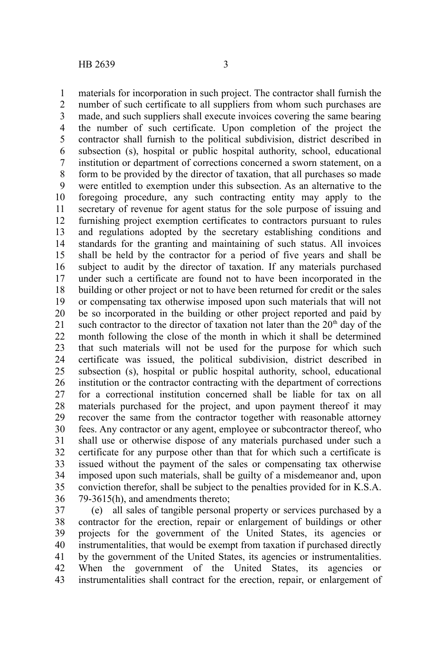materials for incorporation in such project. The contractor shall furnish the number of such certificate to all suppliers from whom such purchases are made, and such suppliers shall execute invoices covering the same bearing the number of such certificate. Upon completion of the project the contractor shall furnish to the political subdivision, district described in subsection (s), hospital or public hospital authority, school, educational institution or department of corrections concerned a sworn statement, on a form to be provided by the director of taxation, that all purchases so made were entitled to exemption under this subsection. As an alternative to the foregoing procedure, any such contracting entity may apply to the secretary of revenue for agent status for the sole purpose of issuing and furnishing project exemption certificates to contractors pursuant to rules and regulations adopted by the secretary establishing conditions and standards for the granting and maintaining of such status. All invoices shall be held by the contractor for a period of five years and shall be subject to audit by the director of taxation. If any materials purchased under such a certificate are found not to have been incorporated in the building or other project or not to have been returned for credit or the sales or compensating tax otherwise imposed upon such materials that will not be so incorporated in the building or other project reported and paid by such contractor to the director of taxation not later than the  $20<sup>th</sup>$  day of the month following the close of the month in which it shall be determined that such materials will not be used for the purpose for which such certificate was issued, the political subdivision, district described in subsection (s), hospital or public hospital authority, school, educational institution or the contractor contracting with the department of corrections for a correctional institution concerned shall be liable for tax on all materials purchased for the project, and upon payment thereof it may recover the same from the contractor together with reasonable attorney fees. Any contractor or any agent, employee or subcontractor thereof, who shall use or otherwise dispose of any materials purchased under such a certificate for any purpose other than that for which such a certificate is issued without the payment of the sales or compensating tax otherwise imposed upon such materials, shall be guilty of a misdemeanor and, upon conviction therefor, shall be subject to the penalties provided for in K.S.A. 79-3615(h), and amendments thereto; 1 2 3 4 5 6 7 8 9 10 11 12 13 14 15 16 17 18 19 20 21 22 23 24 25 26 27 28 29 30 31 32 33 34 35 36

(e) all sales of tangible personal property or services purchased by a contractor for the erection, repair or enlargement of buildings or other projects for the government of the United States, its agencies or instrumentalities, that would be exempt from taxation if purchased directly by the government of the United States, its agencies or instrumentalities. When the government of the United States, its agencies or instrumentalities shall contract for the erection, repair, or enlargement of 37 38 39 40 41 42 43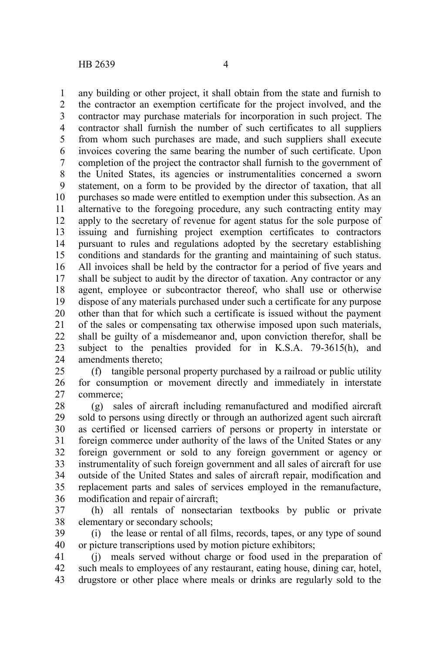any building or other project, it shall obtain from the state and furnish to the contractor an exemption certificate for the project involved, and the contractor may purchase materials for incorporation in such project. The contractor shall furnish the number of such certificates to all suppliers from whom such purchases are made, and such suppliers shall execute invoices covering the same bearing the number of such certificate. Upon completion of the project the contractor shall furnish to the government of the United States, its agencies or instrumentalities concerned a sworn statement, on a form to be provided by the director of taxation, that all purchases so made were entitled to exemption under this subsection. As an alternative to the foregoing procedure, any such contracting entity may apply to the secretary of revenue for agent status for the sole purpose of issuing and furnishing project exemption certificates to contractors pursuant to rules and regulations adopted by the secretary establishing conditions and standards for the granting and maintaining of such status. All invoices shall be held by the contractor for a period of five years and shall be subject to audit by the director of taxation. Any contractor or any agent, employee or subcontractor thereof, who shall use or otherwise dispose of any materials purchased under such a certificate for any purpose other than that for which such a certificate is issued without the payment of the sales or compensating tax otherwise imposed upon such materials, shall be guilty of a misdemeanor and, upon conviction therefor, shall be subject to the penalties provided for in K.S.A. 79-3615(h), and amendments thereto; 1 2 3 4 5 6 7 8 9 10 11 12 13 14 15 16 17 18 19 20 21 22 23 24

(f) tangible personal property purchased by a railroad or public utility for consumption or movement directly and immediately in interstate commerce; 25 26 27

(g) sales of aircraft including remanufactured and modified aircraft sold to persons using directly or through an authorized agent such aircraft as certified or licensed carriers of persons or property in interstate or foreign commerce under authority of the laws of the United States or any foreign government or sold to any foreign government or agency or instrumentality of such foreign government and all sales of aircraft for use outside of the United States and sales of aircraft repair, modification and replacement parts and sales of services employed in the remanufacture, modification and repair of aircraft; 28 29 30 31 32 33 34 35 36

(h) all rentals of nonsectarian textbooks by public or private elementary or secondary schools; 37 38

(i) the lease or rental of all films, records, tapes, or any type of sound or picture transcriptions used by motion picture exhibitors; 39 40

(j) meals served without charge or food used in the preparation of such meals to employees of any restaurant, eating house, dining car, hotel, drugstore or other place where meals or drinks are regularly sold to the 41 42 43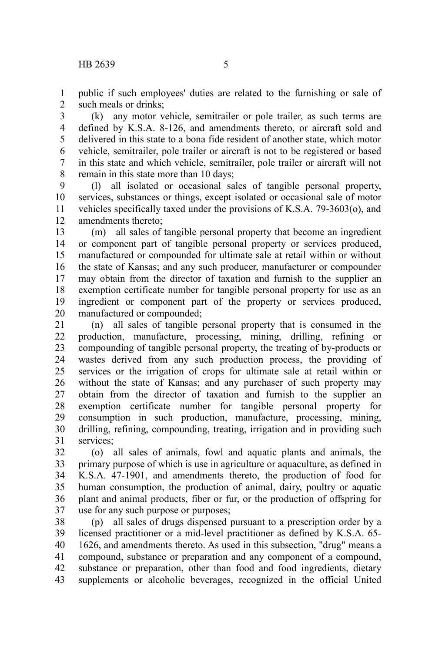public if such employees' duties are related to the furnishing or sale of such meals or drinks; 1 2

(k) any motor vehicle, semitrailer or pole trailer, as such terms are defined by K.S.A. 8-126, and amendments thereto, or aircraft sold and delivered in this state to a bona fide resident of another state, which motor vehicle, semitrailer, pole trailer or aircraft is not to be registered or based in this state and which vehicle, semitrailer, pole trailer or aircraft will not remain in this state more than 10 days; 3 4 5 6 7 8

(l) all isolated or occasional sales of tangible personal property, services, substances or things, except isolated or occasional sale of motor vehicles specifically taxed under the provisions of K.S.A. 79-3603(o), and amendments thereto; 9 10 11 12

(m) all sales of tangible personal property that become an ingredient or component part of tangible personal property or services produced, manufactured or compounded for ultimate sale at retail within or without the state of Kansas; and any such producer, manufacturer or compounder may obtain from the director of taxation and furnish to the supplier an exemption certificate number for tangible personal property for use as an ingredient or component part of the property or services produced, manufactured or compounded; 13 14 15 16 17 18 19 20

(n) all sales of tangible personal property that is consumed in the production, manufacture, processing, mining, drilling, refining or compounding of tangible personal property, the treating of by-products or wastes derived from any such production process, the providing of services or the irrigation of crops for ultimate sale at retail within or without the state of Kansas; and any purchaser of such property may obtain from the director of taxation and furnish to the supplier an exemption certificate number for tangible personal property for consumption in such production, manufacture, processing, mining, drilling, refining, compounding, treating, irrigation and in providing such services; 21 22 23 24 25 26 27 28 29 30 31

(o) all sales of animals, fowl and aquatic plants and animals, the primary purpose of which is use in agriculture or aquaculture, as defined in K.S.A. 47-1901, and amendments thereto, the production of food for human consumption, the production of animal, dairy, poultry or aquatic plant and animal products, fiber or fur, or the production of offspring for use for any such purpose or purposes; 32 33 34 35 36 37

(p) all sales of drugs dispensed pursuant to a prescription order by a licensed practitioner or a mid-level practitioner as defined by K.S.A. 65- 1626, and amendments thereto. As used in this subsection, "drug" means a compound, substance or preparation and any component of a compound, substance or preparation, other than food and food ingredients, dietary supplements or alcoholic beverages, recognized in the official United 38 39 40 41 42 43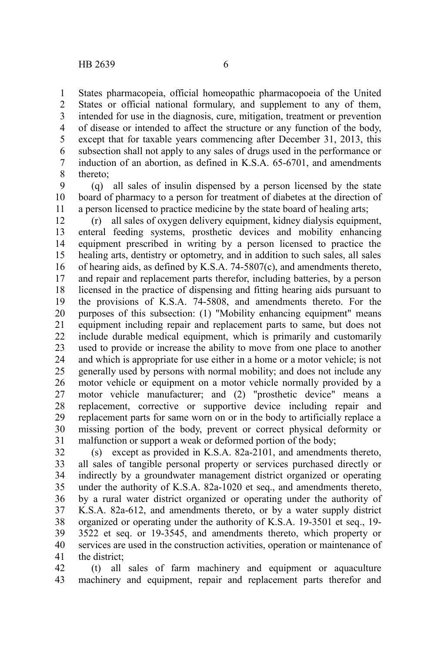States pharmacopeia, official homeopathic pharmacopoeia of the United States or official national formulary, and supplement to any of them, intended for use in the diagnosis, cure, mitigation, treatment or prevention of disease or intended to affect the structure or any function of the body, except that for taxable years commencing after December 31, 2013, this subsection shall not apply to any sales of drugs used in the performance or induction of an abortion, as defined in K.S.A. 65-6701, and amendments thereto; 1 2 3 4 5 6 7 8

(q) all sales of insulin dispensed by a person licensed by the state board of pharmacy to a person for treatment of diabetes at the direction of a person licensed to practice medicine by the state board of healing arts; 9 10 11

(r) all sales of oxygen delivery equipment, kidney dialysis equipment, enteral feeding systems, prosthetic devices and mobility enhancing equipment prescribed in writing by a person licensed to practice the healing arts, dentistry or optometry, and in addition to such sales, all sales of hearing aids, as defined by K.S.A. 74-5807(c), and amendments thereto, and repair and replacement parts therefor, including batteries, by a person licensed in the practice of dispensing and fitting hearing aids pursuant to the provisions of K.S.A. 74-5808, and amendments thereto. For the purposes of this subsection: (1) "Mobility enhancing equipment" means equipment including repair and replacement parts to same, but does not include durable medical equipment, which is primarily and customarily used to provide or increase the ability to move from one place to another and which is appropriate for use either in a home or a motor vehicle; is not generally used by persons with normal mobility; and does not include any motor vehicle or equipment on a motor vehicle normally provided by a motor vehicle manufacturer; and (2) "prosthetic device" means a replacement, corrective or supportive device including repair and replacement parts for same worn on or in the body to artificially replace a missing portion of the body, prevent or correct physical deformity or malfunction or support a weak or deformed portion of the body; 12 13 14 15 16 17 18 19 20 21 22 23 24 25 26 27 28 29 30 31

(s) except as provided in K.S.A. 82a-2101, and amendments thereto, all sales of tangible personal property or services purchased directly or indirectly by a groundwater management district organized or operating under the authority of K.S.A. 82a-1020 et seq., and amendments thereto, by a rural water district organized or operating under the authority of K.S.A. 82a-612, and amendments thereto, or by a water supply district organized or operating under the authority of K.S.A. 19-3501 et seq., 19- 3522 et seq. or 19-3545, and amendments thereto, which property or services are used in the construction activities, operation or maintenance of the district; 32 33 34 35 36 37 38 39 40 41

(t) all sales of farm machinery and equipment or aquaculture machinery and equipment, repair and replacement parts therefor and 42 43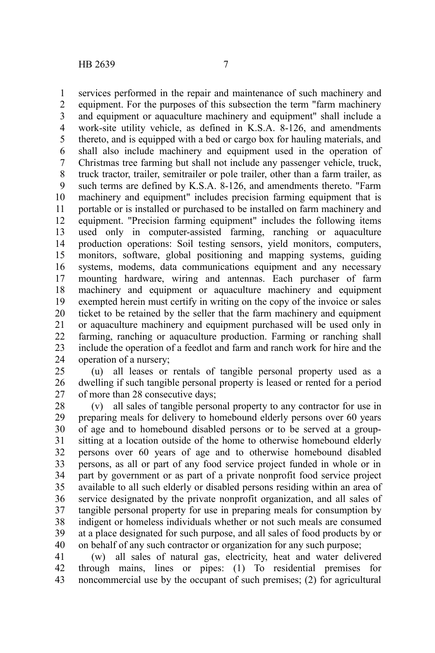services performed in the repair and maintenance of such machinery and equipment. For the purposes of this subsection the term "farm machinery and equipment or aquaculture machinery and equipment" shall include a work-site utility vehicle, as defined in K.S.A. 8-126, and amendments thereto, and is equipped with a bed or cargo box for hauling materials, and shall also include machinery and equipment used in the operation of Christmas tree farming but shall not include any passenger vehicle, truck, truck tractor, trailer, semitrailer or pole trailer, other than a farm trailer, as such terms are defined by K.S.A. 8-126, and amendments thereto. "Farm machinery and equipment" includes precision farming equipment that is portable or is installed or purchased to be installed on farm machinery and equipment. "Precision farming equipment" includes the following items used only in computer-assisted farming, ranching or aquaculture production operations: Soil testing sensors, yield monitors, computers, monitors, software, global positioning and mapping systems, guiding systems, modems, data communications equipment and any necessary mounting hardware, wiring and antennas. Each purchaser of farm machinery and equipment or aquaculture machinery and equipment exempted herein must certify in writing on the copy of the invoice or sales ticket to be retained by the seller that the farm machinery and equipment or aquaculture machinery and equipment purchased will be used only in farming, ranching or aquaculture production. Farming or ranching shall include the operation of a feedlot and farm and ranch work for hire and the operation of a nursery; 1 2 3 4 5 6 7 8 9 10 11 12 13 14 15 16 17 18 19 20 21 22 23 24

(u) all leases or rentals of tangible personal property used as a dwelling if such tangible personal property is leased or rented for a period of more than 28 consecutive days; 25 26 27

(v) all sales of tangible personal property to any contractor for use in preparing meals for delivery to homebound elderly persons over 60 years of age and to homebound disabled persons or to be served at a groupsitting at a location outside of the home to otherwise homebound elderly persons over 60 years of age and to otherwise homebound disabled persons, as all or part of any food service project funded in whole or in part by government or as part of a private nonprofit food service project available to all such elderly or disabled persons residing within an area of service designated by the private nonprofit organization, and all sales of tangible personal property for use in preparing meals for consumption by indigent or homeless individuals whether or not such meals are consumed at a place designated for such purpose, and all sales of food products by or on behalf of any such contractor or organization for any such purpose; 28 29 30 31 32 33 34 35 36 37 38 39 40

(w) all sales of natural gas, electricity, heat and water delivered through mains, lines or pipes: (1) To residential premises for noncommercial use by the occupant of such premises; (2) for agricultural 41 42 43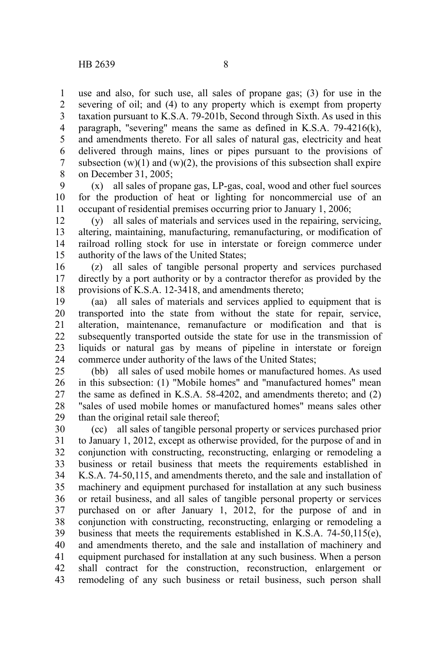use and also, for such use, all sales of propane gas; (3) for use in the severing of oil; and (4) to any property which is exempt from property taxation pursuant to K.S.A. 79-201b, Second through Sixth. As used in this paragraph, "severing" means the same as defined in K.S.A. 79-4216(k), and amendments thereto. For all sales of natural gas, electricity and heat delivered through mains, lines or pipes pursuant to the provisions of subsection  $(w)(1)$  and  $(w)(2)$ , the provisions of this subsection shall expire on December 31, 2005; 1 2 3 4 5 6 7 8

(x) all sales of propane gas, LP-gas, coal, wood and other fuel sources for the production of heat or lighting for noncommercial use of an occupant of residential premises occurring prior to January 1, 2006; 9 10 11

(y) all sales of materials and services used in the repairing, servicing, altering, maintaining, manufacturing, remanufacturing, or modification of railroad rolling stock for use in interstate or foreign commerce under authority of the laws of the United States; 12 13 14 15

(z) all sales of tangible personal property and services purchased directly by a port authority or by a contractor therefor as provided by the provisions of K.S.A. 12-3418, and amendments thereto; 16 17 18

(aa) all sales of materials and services applied to equipment that is transported into the state from without the state for repair, service, alteration, maintenance, remanufacture or modification and that is subsequently transported outside the state for use in the transmission of liquids or natural gas by means of pipeline in interstate or foreign commerce under authority of the laws of the United States; 19 20 21 22 23 24

(bb) all sales of used mobile homes or manufactured homes. As used in this subsection: (1) "Mobile homes" and "manufactured homes" mean the same as defined in K.S.A. 58-4202, and amendments thereto; and (2) "sales of used mobile homes or manufactured homes" means sales other than the original retail sale thereof; 25 26 27 28 29

(cc) all sales of tangible personal property or services purchased prior to January 1, 2012, except as otherwise provided, for the purpose of and in conjunction with constructing, reconstructing, enlarging or remodeling a business or retail business that meets the requirements established in K.S.A. 74-50,115, and amendments thereto, and the sale and installation of machinery and equipment purchased for installation at any such business or retail business, and all sales of tangible personal property or services purchased on or after January 1, 2012, for the purpose of and in conjunction with constructing, reconstructing, enlarging or remodeling a business that meets the requirements established in K.S.A. 74-50,115(e), and amendments thereto, and the sale and installation of machinery and equipment purchased for installation at any such business. When a person shall contract for the construction, reconstruction, enlargement or remodeling of any such business or retail business, such person shall 30 31 32 33 34 35 36 37 38 39 40 41 42 43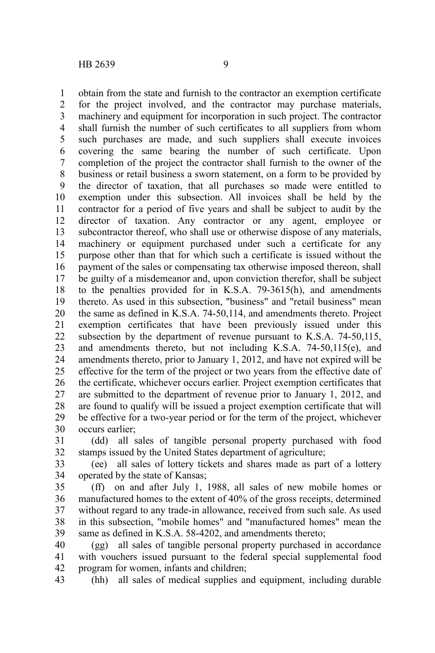obtain from the state and furnish to the contractor an exemption certificate for the project involved, and the contractor may purchase materials, machinery and equipment for incorporation in such project. The contractor shall furnish the number of such certificates to all suppliers from whom such purchases are made, and such suppliers shall execute invoices covering the same bearing the number of such certificate. Upon completion of the project the contractor shall furnish to the owner of the business or retail business a sworn statement, on a form to be provided by the director of taxation, that all purchases so made were entitled to exemption under this subsection. All invoices shall be held by the contractor for a period of five years and shall be subject to audit by the director of taxation. Any contractor or any agent, employee or subcontractor thereof, who shall use or otherwise dispose of any materials, machinery or equipment purchased under such a certificate for any purpose other than that for which such a certificate is issued without the payment of the sales or compensating tax otherwise imposed thereon, shall be guilty of a misdemeanor and, upon conviction therefor, shall be subject to the penalties provided for in K.S.A. 79-3615(h), and amendments thereto. As used in this subsection, "business" and "retail business" mean the same as defined in K.S.A. 74-50,114, and amendments thereto. Project exemption certificates that have been previously issued under this subsection by the department of revenue pursuant to K.S.A. 74-50,115, and amendments thereto, but not including K.S.A. 74-50,115(e), and amendments thereto, prior to January 1, 2012, and have not expired will be effective for the term of the project or two years from the effective date of the certificate, whichever occurs earlier. Project exemption certificates that are submitted to the department of revenue prior to January 1, 2012, and are found to qualify will be issued a project exemption certificate that will be effective for a two-year period or for the term of the project, whichever occurs earlier; 1 2 3 4 5 6 7 8 9 10 11 12 13 14 15 16 17 18 19 20 21 22 23 24 25 26 27 28 29 30

(dd) all sales of tangible personal property purchased with food stamps issued by the United States department of agriculture; 31 32

(ee) all sales of lottery tickets and shares made as part of a lottery operated by the state of Kansas; 33 34

(ff) on and after July 1, 1988, all sales of new mobile homes or manufactured homes to the extent of 40% of the gross receipts, determined without regard to any trade-in allowance, received from such sale. As used in this subsection, "mobile homes" and "manufactured homes" mean the same as defined in K.S.A. 58-4202, and amendments thereto; 35 36 37 38 39

(gg) all sales of tangible personal property purchased in accordance with vouchers issued pursuant to the federal special supplemental food program for women, infants and children; 40 41 42

(hh) all sales of medical supplies and equipment, including durable 43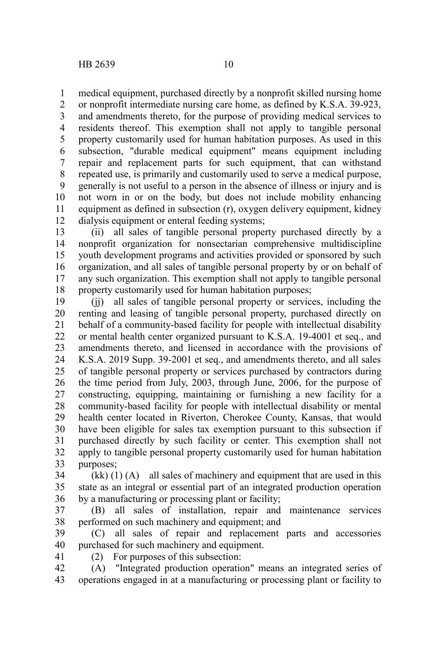medical equipment, purchased directly by a nonprofit skilled nursing home 1

or nonprofit intermediate nursing care home, as defined by K.S.A. 39-923, and amendments thereto, for the purpose of providing medical services to residents thereof. This exemption shall not apply to tangible personal property customarily used for human habitation purposes. As used in this subsection, "durable medical equipment" means equipment including repair and replacement parts for such equipment, that can withstand repeated use, is primarily and customarily used to serve a medical purpose, generally is not useful to a person in the absence of illness or injury and is not worn in or on the body, but does not include mobility enhancing equipment as defined in subsection (r), oxygen delivery equipment, kidney dialysis equipment or enteral feeding systems; 2 3 4 5 6 7 8 9 10 11 12

(ii) all sales of tangible personal property purchased directly by a nonprofit organization for nonsectarian comprehensive multidiscipline youth development programs and activities provided or sponsored by such organization, and all sales of tangible personal property by or on behalf of any such organization. This exemption shall not apply to tangible personal property customarily used for human habitation purposes; 13 14 15 16 17 18

(jj) all sales of tangible personal property or services, including the renting and leasing of tangible personal property, purchased directly on behalf of a community-based facility for people with intellectual disability or mental health center organized pursuant to K.S.A. 19-4001 et seq., and amendments thereto, and licensed in accordance with the provisions of K.S.A. 2019 Supp. 39-2001 et seq., and amendments thereto, and all sales of tangible personal property or services purchased by contractors during the time period from July, 2003, through June, 2006, for the purpose of constructing, equipping, maintaining or furnishing a new facility for a community-based facility for people with intellectual disability or mental health center located in Riverton, Cherokee County, Kansas, that would have been eligible for sales tax exemption pursuant to this subsection if purchased directly by such facility or center. This exemption shall not apply to tangible personal property customarily used for human habitation purposes; 19 20 21 22 23 24 25 26 27 28 29 30 31 32 33

 $(kk)$  (1) (A) all sales of machinery and equipment that are used in this state as an integral or essential part of an integrated production operation by a manufacturing or processing plant or facility; 34 35 36

(B) all sales of installation, repair and maintenance services performed on such machinery and equipment; and 37 38

(C) all sales of repair and replacement parts and accessories purchased for such machinery and equipment. 39 40

41

(2) For purposes of this subsection:

(A) "Integrated production operation" means an integrated series of operations engaged in at a manufacturing or processing plant or facility to 42 43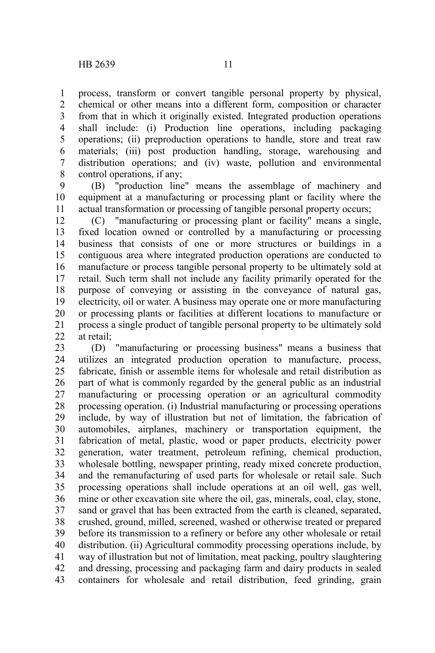process, transform or convert tangible personal property by physical, chemical or other means into a different form, composition or character from that in which it originally existed. Integrated production operations shall include: (i) Production line operations, including packaging operations; (ii) preproduction operations to handle, store and treat raw materials; (iii) post production handling, storage, warehousing and distribution operations; and (iv) waste, pollution and environmental control operations, if any; 1 2 3 4 5 6 7 8

(B) "production line" means the assemblage of machinery and equipment at a manufacturing or processing plant or facility where the actual transformation or processing of tangible personal property occurs; 9 10 11

(C) "manufacturing or processing plant or facility" means a single, fixed location owned or controlled by a manufacturing or processing business that consists of one or more structures or buildings in a contiguous area where integrated production operations are conducted to manufacture or process tangible personal property to be ultimately sold at retail. Such term shall not include any facility primarily operated for the purpose of conveying or assisting in the conveyance of natural gas, electricity, oil or water. A business may operate one or more manufacturing or processing plants or facilities at different locations to manufacture or process a single product of tangible personal property to be ultimately sold at retail; 12 13 14 15 16 17 18 19 20 21 22

(D) "manufacturing or processing business" means a business that utilizes an integrated production operation to manufacture, process, fabricate, finish or assemble items for wholesale and retail distribution as part of what is commonly regarded by the general public as an industrial manufacturing or processing operation or an agricultural commodity processing operation. (i) Industrial manufacturing or processing operations include, by way of illustration but not of limitation, the fabrication of automobiles, airplanes, machinery or transportation equipment, the fabrication of metal, plastic, wood or paper products, electricity power generation, water treatment, petroleum refining, chemical production, wholesale bottling, newspaper printing, ready mixed concrete production, and the remanufacturing of used parts for wholesale or retail sale. Such processing operations shall include operations at an oil well, gas well, mine or other excavation site where the oil, gas, minerals, coal, clay, stone, sand or gravel that has been extracted from the earth is cleaned, separated, crushed, ground, milled, screened, washed or otherwise treated or prepared before its transmission to a refinery or before any other wholesale or retail distribution. (ii) Agricultural commodity processing operations include, by way of illustration but not of limitation, meat packing, poultry slaughtering and dressing, processing and packaging farm and dairy products in sealed containers for wholesale and retail distribution, feed grinding, grain 23 24 25 26 27 28 29 30 31 32 33 34 35 36 37 38 39 40 41 42 43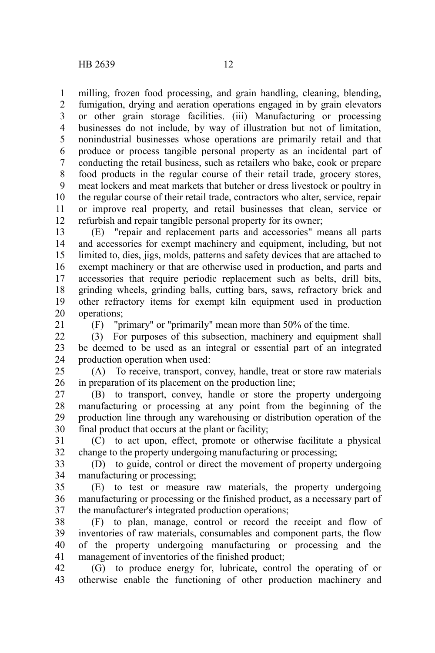milling, frozen food processing, and grain handling, cleaning, blending, fumigation, drying and aeration operations engaged in by grain elevators or other grain storage facilities. (iii) Manufacturing or processing businesses do not include, by way of illustration but not of limitation, nonindustrial businesses whose operations are primarily retail and that produce or process tangible personal property as an incidental part of conducting the retail business, such as retailers who bake, cook or prepare food products in the regular course of their retail trade, grocery stores, meat lockers and meat markets that butcher or dress livestock or poultry in the regular course of their retail trade, contractors who alter, service, repair or improve real property, and retail businesses that clean, service or refurbish and repair tangible personal property for its owner; 1 2 3 4 5 6 7 8 9 10 11 12

(E) "repair and replacement parts and accessories" means all parts and accessories for exempt machinery and equipment, including, but not limited to, dies, jigs, molds, patterns and safety devices that are attached to exempt machinery or that are otherwise used in production, and parts and accessories that require periodic replacement such as belts, drill bits, grinding wheels, grinding balls, cutting bars, saws, refractory brick and other refractory items for exempt kiln equipment used in production operations; 13 14 15 16 17 18 19 20

21

(F) "primary" or "primarily" mean more than 50% of the time.

(3) For purposes of this subsection, machinery and equipment shall be deemed to be used as an integral or essential part of an integrated production operation when used: 22 23 24

(A) To receive, transport, convey, handle, treat or store raw materials in preparation of its placement on the production line; 25 26

(B) to transport, convey, handle or store the property undergoing manufacturing or processing at any point from the beginning of the production line through any warehousing or distribution operation of the final product that occurs at the plant or facility; 27 28 29 30

(C) to act upon, effect, promote or otherwise facilitate a physical change to the property undergoing manufacturing or processing; 31 32

(D) to guide, control or direct the movement of property undergoing manufacturing or processing; 33 34

(E) to test or measure raw materials, the property undergoing manufacturing or processing or the finished product, as a necessary part of the manufacturer's integrated production operations; 35 36 37

(F) to plan, manage, control or record the receipt and flow of inventories of raw materials, consumables and component parts, the flow of the property undergoing manufacturing or processing and the management of inventories of the finished product; 38 39 40 41

(G) to produce energy for, lubricate, control the operating of or otherwise enable the functioning of other production machinery and 42 43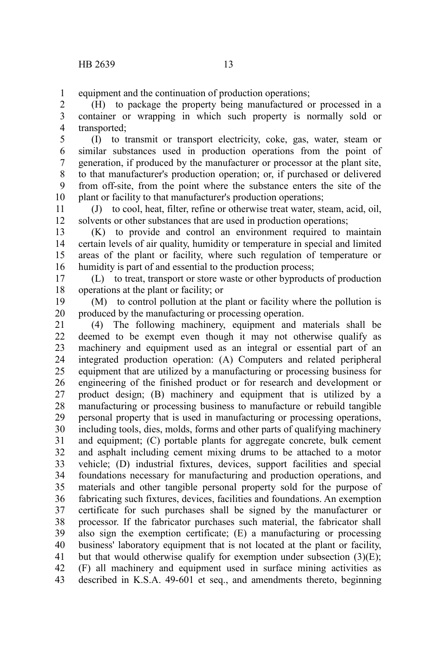equipment and the continuation of production operations; 1

(H) to package the property being manufactured or processed in a container or wrapping in which such property is normally sold or transported; 2 3 4

(I) to transmit or transport electricity, coke, gas, water, steam or similar substances used in production operations from the point of generation, if produced by the manufacturer or processor at the plant site, to that manufacturer's production operation; or, if purchased or delivered from off-site, from the point where the substance enters the site of the plant or facility to that manufacturer's production operations; 5 6 7 8 9 10

(J) to cool, heat, filter, refine or otherwise treat water, steam, acid, oil, solvents or other substances that are used in production operations; 11 12

(K) to provide and control an environment required to maintain certain levels of air quality, humidity or temperature in special and limited areas of the plant or facility, where such regulation of temperature or humidity is part of and essential to the production process; 13 14 15 16

(L) to treat, transport or store waste or other byproducts of production operations at the plant or facility; or 17 18

(M) to control pollution at the plant or facility where the pollution is produced by the manufacturing or processing operation. 19 20

(4) The following machinery, equipment and materials shall be deemed to be exempt even though it may not otherwise qualify as machinery and equipment used as an integral or essential part of an integrated production operation: (A) Computers and related peripheral equipment that are utilized by a manufacturing or processing business for engineering of the finished product or for research and development or product design; (B) machinery and equipment that is utilized by a manufacturing or processing business to manufacture or rebuild tangible personal property that is used in manufacturing or processing operations, including tools, dies, molds, forms and other parts of qualifying machinery and equipment; (C) portable plants for aggregate concrete, bulk cement and asphalt including cement mixing drums to be attached to a motor vehicle; (D) industrial fixtures, devices, support facilities and special foundations necessary for manufacturing and production operations, and materials and other tangible personal property sold for the purpose of fabricating such fixtures, devices, facilities and foundations. An exemption certificate for such purchases shall be signed by the manufacturer or processor. If the fabricator purchases such material, the fabricator shall also sign the exemption certificate; (E) a manufacturing or processing business' laboratory equipment that is not located at the plant or facility, but that would otherwise qualify for exemption under subsection  $(3)(E)$ ; (F) all machinery and equipment used in surface mining activities as described in K.S.A. 49-601 et seq., and amendments thereto, beginning 21 22 23 24 25 26 27 28 29 30 31 32 33 34 35 36 37 38 39 40 41 42 43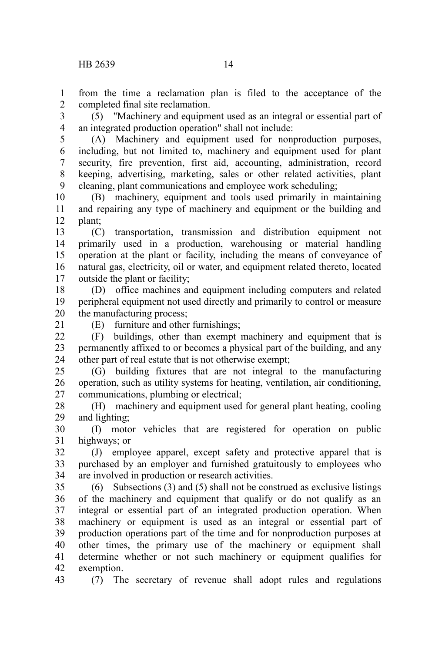from the time a reclamation plan is filed to the acceptance of the completed final site reclamation. 1 2

(5) "Machinery and equipment used as an integral or essential part of an integrated production operation" shall not include: 3 4

(A) Machinery and equipment used for nonproduction purposes, including, but not limited to, machinery and equipment used for plant security, fire prevention, first aid, accounting, administration, record keeping, advertising, marketing, sales or other related activities, plant cleaning, plant communications and employee work scheduling; 5 6 7 8 9

(B) machinery, equipment and tools used primarily in maintaining and repairing any type of machinery and equipment or the building and plant; 10 11 12

(C) transportation, transmission and distribution equipment not primarily used in a production, warehousing or material handling operation at the plant or facility, including the means of conveyance of natural gas, electricity, oil or water, and equipment related thereto, located outside the plant or facility; 13 14 15 16 17

(D) office machines and equipment including computers and related peripheral equipment not used directly and primarily to control or measure the manufacturing process; 18 19 20

21

(E) furniture and other furnishings;

(F) buildings, other than exempt machinery and equipment that is permanently affixed to or becomes a physical part of the building, and any other part of real estate that is not otherwise exempt;  $22$ 23 24

(G) building fixtures that are not integral to the manufacturing operation, such as utility systems for heating, ventilation, air conditioning, communications, plumbing or electrical; 25 26 27

(H) machinery and equipment used for general plant heating, cooling and lighting; 28 29

(I) motor vehicles that are registered for operation on public highways; or 30 31

(J) employee apparel, except safety and protective apparel that is purchased by an employer and furnished gratuitously to employees who are involved in production or research activities. 32 33 34

(6) Subsections (3) and (5) shall not be construed as exclusive listings of the machinery and equipment that qualify or do not qualify as an integral or essential part of an integrated production operation. When machinery or equipment is used as an integral or essential part of production operations part of the time and for nonproduction purposes at other times, the primary use of the machinery or equipment shall determine whether or not such machinery or equipment qualifies for exemption. 35 36 37 38 39 40 41 42

43

(7) The secretary of revenue shall adopt rules and regulations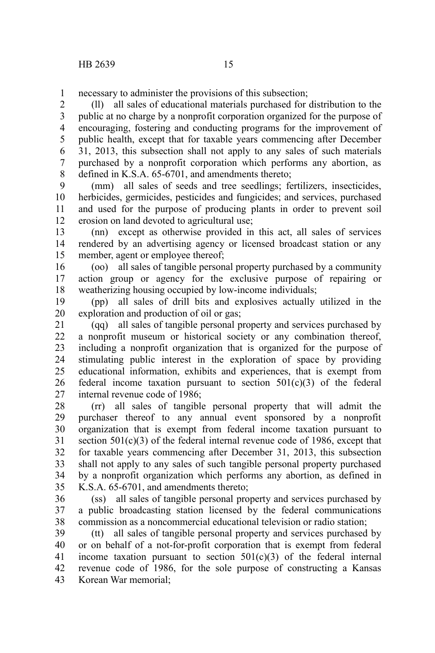necessary to administer the provisions of this subsection; 1

(ll) all sales of educational materials purchased for distribution to the public at no charge by a nonprofit corporation organized for the purpose of encouraging, fostering and conducting programs for the improvement of public health, except that for taxable years commencing after December 31, 2013, this subsection shall not apply to any sales of such materials purchased by a nonprofit corporation which performs any abortion, as defined in K.S.A. 65-6701, and amendments thereto; 2 3 4 5 6 7 8

(mm) all sales of seeds and tree seedlings; fertilizers, insecticides, herbicides, germicides, pesticides and fungicides; and services, purchased and used for the purpose of producing plants in order to prevent soil erosion on land devoted to agricultural use; 9 10 11 12

(nn) except as otherwise provided in this act, all sales of services rendered by an advertising agency or licensed broadcast station or any member, agent or employee thereof; 13 14 15

(oo) all sales of tangible personal property purchased by a community action group or agency for the exclusive purpose of repairing or weatherizing housing occupied by low-income individuals; 16 17 18

(pp) all sales of drill bits and explosives actually utilized in the exploration and production of oil or gas; 19 20

(qq) all sales of tangible personal property and services purchased by a nonprofit museum or historical society or any combination thereof, including a nonprofit organization that is organized for the purpose of stimulating public interest in the exploration of space by providing educational information, exhibits and experiences, that is exempt from federal income taxation pursuant to section  $501(c)(3)$  of the federal internal revenue code of 1986; 21 22 23 24 25 26 27

(rr) all sales of tangible personal property that will admit the purchaser thereof to any annual event sponsored by a nonprofit organization that is exempt from federal income taxation pursuant to section 501(c)(3) of the federal internal revenue code of 1986, except that for taxable years commencing after December 31, 2013, this subsection shall not apply to any sales of such tangible personal property purchased by a nonprofit organization which performs any abortion, as defined in K.S.A. 65-6701, and amendments thereto; 28 29 30 31 32 33 34 35

(ss) all sales of tangible personal property and services purchased by a public broadcasting station licensed by the federal communications commission as a noncommercial educational television or radio station; 36 37 38

(tt) all sales of tangible personal property and services purchased by or on behalf of a not-for-profit corporation that is exempt from federal income taxation pursuant to section  $501(c)(3)$  of the federal internal revenue code of 1986, for the sole purpose of constructing a Kansas Korean War memorial; 39 40 41 42 43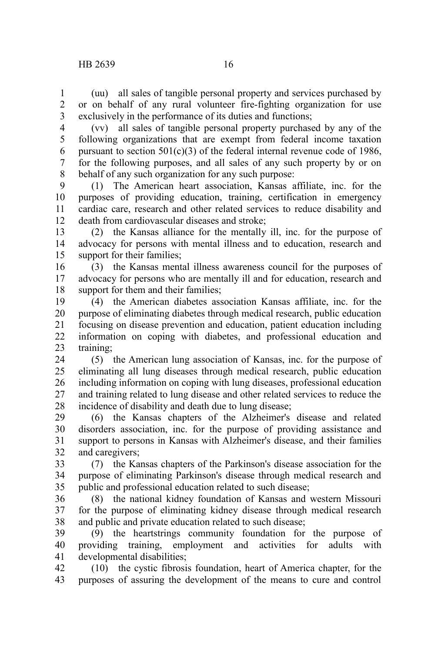(uu) all sales of tangible personal property and services purchased by or on behalf of any rural volunteer fire-fighting organization for use exclusively in the performance of its duties and functions; 1 2 3

(vv) all sales of tangible personal property purchased by any of the following organizations that are exempt from federal income taxation pursuant to section  $501(c)(3)$  of the federal internal revenue code of 1986, for the following purposes, and all sales of any such property by or on behalf of any such organization for any such purpose: 4 5 6 7 8

(1) The American heart association, Kansas affiliate, inc. for the purposes of providing education, training, certification in emergency cardiac care, research and other related services to reduce disability and death from cardiovascular diseases and stroke; 9 10 11 12

(2) the Kansas alliance for the mentally ill, inc. for the purpose of advocacy for persons with mental illness and to education, research and support for their families; 13 14 15

(3) the Kansas mental illness awareness council for the purposes of advocacy for persons who are mentally ill and for education, research and support for them and their families; 16 17 18

(4) the American diabetes association Kansas affiliate, inc. for the purpose of eliminating diabetes through medical research, public education focusing on disease prevention and education, patient education including information on coping with diabetes, and professional education and training; 19 20 21 22 23

(5) the American lung association of Kansas, inc. for the purpose of eliminating all lung diseases through medical research, public education including information on coping with lung diseases, professional education and training related to lung disease and other related services to reduce the incidence of disability and death due to lung disease; 24 25 26 27 28

(6) the Kansas chapters of the Alzheimer's disease and related disorders association, inc. for the purpose of providing assistance and support to persons in Kansas with Alzheimer's disease, and their families and caregivers; 29 30 31 32

(7) the Kansas chapters of the Parkinson's disease association for the purpose of eliminating Parkinson's disease through medical research and public and professional education related to such disease; 33 34 35

(8) the national kidney foundation of Kansas and western Missouri for the purpose of eliminating kidney disease through medical research and public and private education related to such disease; 36 37 38

(9) the heartstrings community foundation for the purpose of providing training, employment and activities for adults with developmental disabilities; 39 40 41

(10) the cystic fibrosis foundation, heart of America chapter, for the purposes of assuring the development of the means to cure and control 42 43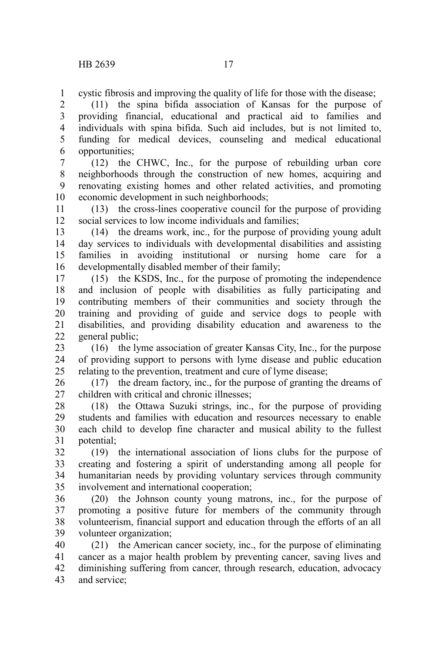cystic fibrosis and improving the quality of life for those with the disease; 1

(11) the spina bifida association of Kansas for the purpose of providing financial, educational and practical aid to families and individuals with spina bifida. Such aid includes, but is not limited to, funding for medical devices, counseling and medical educational opportunities; 2 3 4 5 6

(12) the CHWC, Inc., for the purpose of rebuilding urban core neighborhoods through the construction of new homes, acquiring and renovating existing homes and other related activities, and promoting economic development in such neighborhoods; 7 8 9 10

(13) the cross-lines cooperative council for the purpose of providing social services to low income individuals and families; 11 12

(14) the dreams work, inc., for the purpose of providing young adult day services to individuals with developmental disabilities and assisting families in avoiding institutional or nursing home care for a developmentally disabled member of their family; 13 14 15 16

(15) the KSDS, Inc., for the purpose of promoting the independence and inclusion of people with disabilities as fully participating and contributing members of their communities and society through the training and providing of guide and service dogs to people with disabilities, and providing disability education and awareness to the general public; 17 18 19 20 21 22

(16) the lyme association of greater Kansas City, Inc., for the purpose of providing support to persons with lyme disease and public education relating to the prevention, treatment and cure of lyme disease; 23 24 25

(17) the dream factory, inc., for the purpose of granting the dreams of children with critical and chronic illnesses; 26 27

(18) the Ottawa Suzuki strings, inc., for the purpose of providing students and families with education and resources necessary to enable each child to develop fine character and musical ability to the fullest potential; 28 29 30 31

(19) the international association of lions clubs for the purpose of creating and fostering a spirit of understanding among all people for humanitarian needs by providing voluntary services through community involvement and international cooperation; 32 33 34 35

(20) the Johnson county young matrons, inc., for the purpose of promoting a positive future for members of the community through volunteerism, financial support and education through the efforts of an all volunteer organization; 36 37 38 39

(21) the American cancer society, inc., for the purpose of eliminating cancer as a major health problem by preventing cancer, saving lives and diminishing suffering from cancer, through research, education, advocacy and service; 40 41 42 43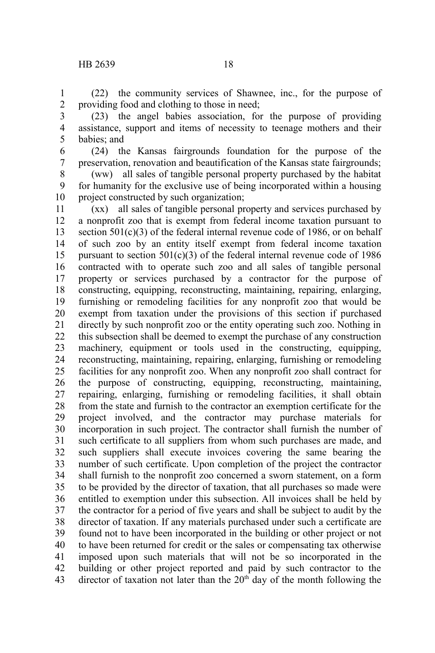(22) the community services of Shawnee, inc., for the purpose of providing food and clothing to those in need; 1 2

- (23) the angel babies association, for the purpose of providing assistance, support and items of necessity to teenage mothers and their babies; and 3 4 5
- (24) the Kansas fairgrounds foundation for the purpose of the preservation, renovation and beautification of the Kansas state fairgrounds; 6 7

(ww) all sales of tangible personal property purchased by the habitat for humanity for the exclusive use of being incorporated within a housing project constructed by such organization; 8 9 10

(xx) all sales of tangible personal property and services purchased by a nonprofit zoo that is exempt from federal income taxation pursuant to section 501(c)(3) of the federal internal revenue code of 1986, or on behalf of such zoo by an entity itself exempt from federal income taxation pursuant to section  $501(c)(3)$  of the federal internal revenue code of 1986 contracted with to operate such zoo and all sales of tangible personal property or services purchased by a contractor for the purpose of constructing, equipping, reconstructing, maintaining, repairing, enlarging, furnishing or remodeling facilities for any nonprofit zoo that would be exempt from taxation under the provisions of this section if purchased directly by such nonprofit zoo or the entity operating such zoo. Nothing in this subsection shall be deemed to exempt the purchase of any construction machinery, equipment or tools used in the constructing, equipping, reconstructing, maintaining, repairing, enlarging, furnishing or remodeling facilities for any nonprofit zoo. When any nonprofit zoo shall contract for the purpose of constructing, equipping, reconstructing, maintaining, repairing, enlarging, furnishing or remodeling facilities, it shall obtain from the state and furnish to the contractor an exemption certificate for the project involved, and the contractor may purchase materials for incorporation in such project. The contractor shall furnish the number of such certificate to all suppliers from whom such purchases are made, and such suppliers shall execute invoices covering the same bearing the number of such certificate. Upon completion of the project the contractor shall furnish to the nonprofit zoo concerned a sworn statement, on a form to be provided by the director of taxation, that all purchases so made were entitled to exemption under this subsection. All invoices shall be held by the contractor for a period of five years and shall be subject to audit by the director of taxation. If any materials purchased under such a certificate are found not to have been incorporated in the building or other project or not to have been returned for credit or the sales or compensating tax otherwise imposed upon such materials that will not be so incorporated in the building or other project reported and paid by such contractor to the director of taxation not later than the  $20<sup>th</sup>$  day of the month following the 11 12 13 14 15 16 17 18 19 20 21 22 23 24 25 26 27 28 29 30 31 32 33 34 35 36 37 38 39 40 41 42 43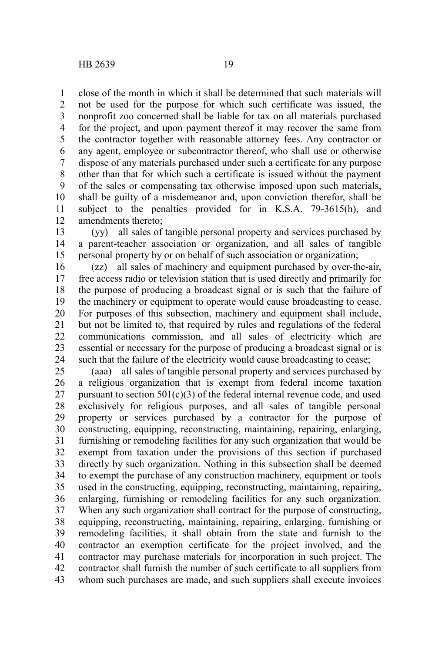close of the month in which it shall be determined that such materials will not be used for the purpose for which such certificate was issued, the nonprofit zoo concerned shall be liable for tax on all materials purchased for the project, and upon payment thereof it may recover the same from the contractor together with reasonable attorney fees. Any contractor or any agent, employee or subcontractor thereof, who shall use or otherwise dispose of any materials purchased under such a certificate for any purpose other than that for which such a certificate is issued without the payment of the sales or compensating tax otherwise imposed upon such materials, shall be guilty of a misdemeanor and, upon conviction therefor, shall be subject to the penalties provided for in K.S.A. 79-3615(h), and amendments thereto; 1 2 3 4 5 6 7 8 9 10 11 12

(yy) all sales of tangible personal property and services purchased by a parent-teacher association or organization, and all sales of tangible personal property by or on behalf of such association or organization; 13 14 15

(zz) all sales of machinery and equipment purchased by over-the-air, free access radio or television station that is used directly and primarily for the purpose of producing a broadcast signal or is such that the failure of the machinery or equipment to operate would cause broadcasting to cease. For purposes of this subsection, machinery and equipment shall include, but not be limited to, that required by rules and regulations of the federal communications commission, and all sales of electricity which are essential or necessary for the purpose of producing a broadcast signal or is such that the failure of the electricity would cause broadcasting to cease; 16 17 18 19 20 21 22 23 24

(aaa) all sales of tangible personal property and services purchased by a religious organization that is exempt from federal income taxation pursuant to section  $501(c)(3)$  of the federal internal revenue code, and used exclusively for religious purposes, and all sales of tangible personal property or services purchased by a contractor for the purpose of constructing, equipping, reconstructing, maintaining, repairing, enlarging, furnishing or remodeling facilities for any such organization that would be exempt from taxation under the provisions of this section if purchased directly by such organization. Nothing in this subsection shall be deemed to exempt the purchase of any construction machinery, equipment or tools used in the constructing, equipping, reconstructing, maintaining, repairing, enlarging, furnishing or remodeling facilities for any such organization. When any such organization shall contract for the purpose of constructing, equipping, reconstructing, maintaining, repairing, enlarging, furnishing or remodeling facilities, it shall obtain from the state and furnish to the contractor an exemption certificate for the project involved, and the contractor may purchase materials for incorporation in such project. The contractor shall furnish the number of such certificate to all suppliers from whom such purchases are made, and such suppliers shall execute invoices 25 26 27 28 29 30 31 32 33 34 35 36 37 38 39 40 41 42 43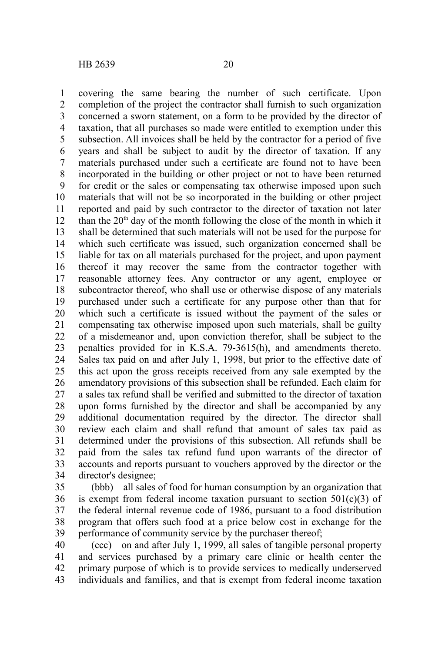covering the same bearing the number of such certificate. Upon completion of the project the contractor shall furnish to such organization concerned a sworn statement, on a form to be provided by the director of taxation, that all purchases so made were entitled to exemption under this subsection. All invoices shall be held by the contractor for a period of five years and shall be subject to audit by the director of taxation. If any materials purchased under such a certificate are found not to have been incorporated in the building or other project or not to have been returned for credit or the sales or compensating tax otherwise imposed upon such materials that will not be so incorporated in the building or other project reported and paid by such contractor to the director of taxation not later than the  $20<sup>th</sup>$  day of the month following the close of the month in which it shall be determined that such materials will not be used for the purpose for which such certificate was issued, such organization concerned shall be liable for tax on all materials purchased for the project, and upon payment thereof it may recover the same from the contractor together with reasonable attorney fees. Any contractor or any agent, employee or subcontractor thereof, who shall use or otherwise dispose of any materials purchased under such a certificate for any purpose other than that for which such a certificate is issued without the payment of the sales or compensating tax otherwise imposed upon such materials, shall be guilty of a misdemeanor and, upon conviction therefor, shall be subject to the penalties provided for in K.S.A. 79-3615(h), and amendments thereto. Sales tax paid on and after July 1, 1998, but prior to the effective date of this act upon the gross receipts received from any sale exempted by the amendatory provisions of this subsection shall be refunded. Each claim for a sales tax refund shall be verified and submitted to the director of taxation upon forms furnished by the director and shall be accompanied by any additional documentation required by the director. The director shall review each claim and shall refund that amount of sales tax paid as determined under the provisions of this subsection. All refunds shall be paid from the sales tax refund fund upon warrants of the director of accounts and reports pursuant to vouchers approved by the director or the director's designee; 1 2 3 4 5 6 7 8 9 10 11 12 13 14 15 16 17 18 19 20 21 22 23 24 25 26 27 28 29 30 31 32 33 34

(bbb) all sales of food for human consumption by an organization that is exempt from federal income taxation pursuant to section  $501(c)(3)$  of the federal internal revenue code of 1986, pursuant to a food distribution program that offers such food at a price below cost in exchange for the performance of community service by the purchaser thereof; 35 36 37 38 39

(ccc) on and after July 1, 1999, all sales of tangible personal property and services purchased by a primary care clinic or health center the primary purpose of which is to provide services to medically underserved individuals and families, and that is exempt from federal income taxation 40 41 42 43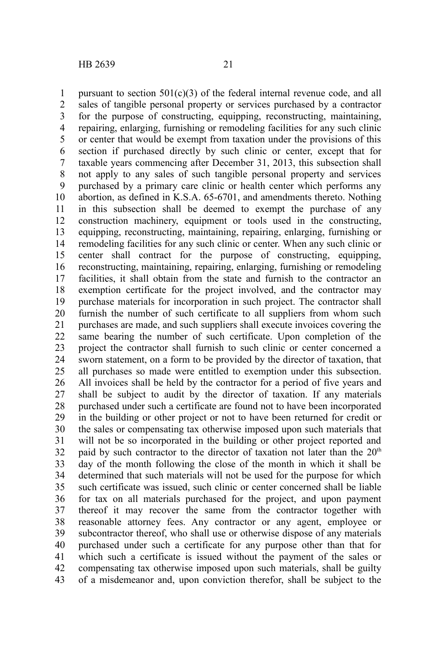pursuant to section  $501(c)(3)$  of the federal internal revenue code, and all sales of tangible personal property or services purchased by a contractor for the purpose of constructing, equipping, reconstructing, maintaining, repairing, enlarging, furnishing or remodeling facilities for any such clinic or center that would be exempt from taxation under the provisions of this section if purchased directly by such clinic or center, except that for taxable years commencing after December 31, 2013, this subsection shall not apply to any sales of such tangible personal property and services purchased by a primary care clinic or health center which performs any abortion, as defined in K.S.A. 65-6701, and amendments thereto. Nothing in this subsection shall be deemed to exempt the purchase of any construction machinery, equipment or tools used in the constructing, equipping, reconstructing, maintaining, repairing, enlarging, furnishing or remodeling facilities for any such clinic or center. When any such clinic or center shall contract for the purpose of constructing, equipping, reconstructing, maintaining, repairing, enlarging, furnishing or remodeling facilities, it shall obtain from the state and furnish to the contractor an exemption certificate for the project involved, and the contractor may purchase materials for incorporation in such project. The contractor shall furnish the number of such certificate to all suppliers from whom such purchases are made, and such suppliers shall execute invoices covering the same bearing the number of such certificate. Upon completion of the project the contractor shall furnish to such clinic or center concerned a sworn statement, on a form to be provided by the director of taxation, that all purchases so made were entitled to exemption under this subsection. All invoices shall be held by the contractor for a period of five years and shall be subject to audit by the director of taxation. If any materials purchased under such a certificate are found not to have been incorporated in the building or other project or not to have been returned for credit or the sales or compensating tax otherwise imposed upon such materials that will not be so incorporated in the building or other project reported and paid by such contractor to the director of taxation not later than the  $20<sup>th</sup>$ day of the month following the close of the month in which it shall be determined that such materials will not be used for the purpose for which such certificate was issued, such clinic or center concerned shall be liable for tax on all materials purchased for the project, and upon payment thereof it may recover the same from the contractor together with reasonable attorney fees. Any contractor or any agent, employee or subcontractor thereof, who shall use or otherwise dispose of any materials purchased under such a certificate for any purpose other than that for which such a certificate is issued without the payment of the sales or compensating tax otherwise imposed upon such materials, shall be guilty of a misdemeanor and, upon conviction therefor, shall be subject to the 1 2 3 4 5 6 7 8 9 10 11 12 13 14 15 16 17 18 19 20 21 22 23 24 25 26 27 28 29 30 31 32 33 34 35 36 37 38 39 40 41 42 43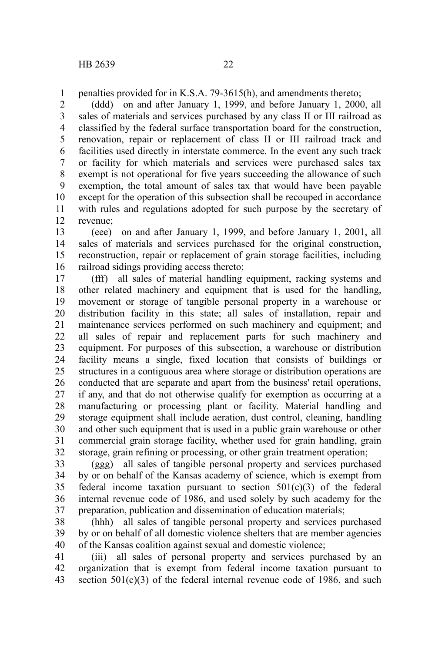penalties provided for in K.S.A. 79-3615(h), and amendments thereto; 1

(ddd) on and after January 1, 1999, and before January 1, 2000, all sales of materials and services purchased by any class II or III railroad as classified by the federal surface transportation board for the construction, renovation, repair or replacement of class II or III railroad track and facilities used directly in interstate commerce. In the event any such track or facility for which materials and services were purchased sales tax exempt is not operational for five years succeeding the allowance of such exemption, the total amount of sales tax that would have been payable except for the operation of this subsection shall be recouped in accordance with rules and regulations adopted for such purpose by the secretary of revenue; 2 3 4 5 6 7 8 9 10 11 12

(eee) on and after January 1, 1999, and before January 1, 2001, all sales of materials and services purchased for the original construction, reconstruction, repair or replacement of grain storage facilities, including railroad sidings providing access thereto; 13 14 15 16

(fff) all sales of material handling equipment, racking systems and other related machinery and equipment that is used for the handling, movement or storage of tangible personal property in a warehouse or distribution facility in this state; all sales of installation, repair and maintenance services performed on such machinery and equipment; and all sales of repair and replacement parts for such machinery and equipment. For purposes of this subsection, a warehouse or distribution facility means a single, fixed location that consists of buildings or structures in a contiguous area where storage or distribution operations are conducted that are separate and apart from the business' retail operations, if any, and that do not otherwise qualify for exemption as occurring at a manufacturing or processing plant or facility. Material handling and storage equipment shall include aeration, dust control, cleaning, handling and other such equipment that is used in a public grain warehouse or other commercial grain storage facility, whether used for grain handling, grain storage, grain refining or processing, or other grain treatment operation; 17 18 19 20 21 22 23 24 25 26 27 28 29 30 31 32

(ggg) all sales of tangible personal property and services purchased by or on behalf of the Kansas academy of science, which is exempt from federal income taxation pursuant to section  $501(c)(3)$  of the federal internal revenue code of 1986, and used solely by such academy for the preparation, publication and dissemination of education materials; 33 34 35 36 37

(hhh) all sales of tangible personal property and services purchased by or on behalf of all domestic violence shelters that are member agencies of the Kansas coalition against sexual and domestic violence; 38 39 40

(iii) all sales of personal property and services purchased by an organization that is exempt from federal income taxation pursuant to section  $501(c)(3)$  of the federal internal revenue code of 1986, and such 41 42 43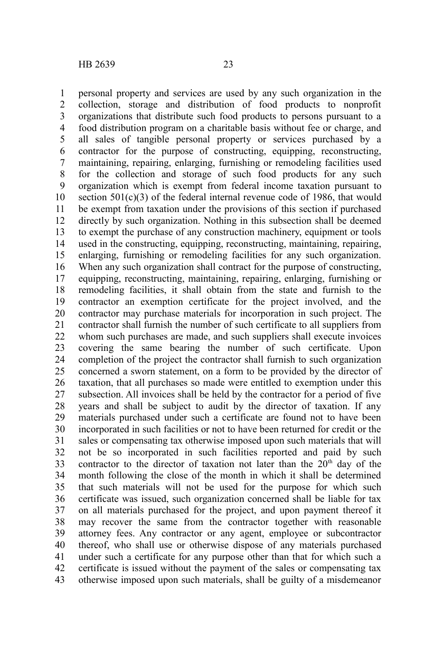personal property and services are used by any such organization in the collection, storage and distribution of food products to nonprofit organizations that distribute such food products to persons pursuant to a food distribution program on a charitable basis without fee or charge, and all sales of tangible personal property or services purchased by a contractor for the purpose of constructing, equipping, reconstructing, maintaining, repairing, enlarging, furnishing or remodeling facilities used for the collection and storage of such food products for any such organization which is exempt from federal income taxation pursuant to section  $501(c)(3)$  of the federal internal revenue code of 1986, that would be exempt from taxation under the provisions of this section if purchased directly by such organization. Nothing in this subsection shall be deemed to exempt the purchase of any construction machinery, equipment or tools used in the constructing, equipping, reconstructing, maintaining, repairing, enlarging, furnishing or remodeling facilities for any such organization. When any such organization shall contract for the purpose of constructing, equipping, reconstructing, maintaining, repairing, enlarging, furnishing or remodeling facilities, it shall obtain from the state and furnish to the contractor an exemption certificate for the project involved, and the contractor may purchase materials for incorporation in such project. The contractor shall furnish the number of such certificate to all suppliers from whom such purchases are made, and such suppliers shall execute invoices covering the same bearing the number of such certificate. Upon completion of the project the contractor shall furnish to such organization concerned a sworn statement, on a form to be provided by the director of taxation, that all purchases so made were entitled to exemption under this subsection. All invoices shall be held by the contractor for a period of five years and shall be subject to audit by the director of taxation. If any materials purchased under such a certificate are found not to have been incorporated in such facilities or not to have been returned for credit or the sales or compensating tax otherwise imposed upon such materials that will not be so incorporated in such facilities reported and paid by such contractor to the director of taxation not later than the  $20<sup>th</sup>$  day of the month following the close of the month in which it shall be determined that such materials will not be used for the purpose for which such certificate was issued, such organization concerned shall be liable for tax on all materials purchased for the project, and upon payment thereof it may recover the same from the contractor together with reasonable attorney fees. Any contractor or any agent, employee or subcontractor thereof, who shall use or otherwise dispose of any materials purchased under such a certificate for any purpose other than that for which such a certificate is issued without the payment of the sales or compensating tax otherwise imposed upon such materials, shall be guilty of a misdemeanor 1 2 3 4 5 6 7 8 9 10 11 12 13 14 15 16 17 18 19 20 21 22 23 24 25 26 27 28 29 30 31 32 33 34 35 36 37 38 39 40 41 42 43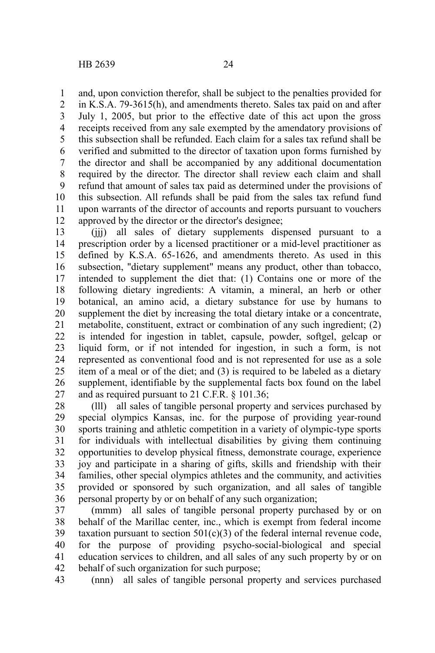and, upon conviction therefor, shall be subject to the penalties provided for 1

in K.S.A. 79-3615(h), and amendments thereto. Sales tax paid on and after July 1, 2005, but prior to the effective date of this act upon the gross receipts received from any sale exempted by the amendatory provisions of this subsection shall be refunded. Each claim for a sales tax refund shall be verified and submitted to the director of taxation upon forms furnished by the director and shall be accompanied by any additional documentation required by the director. The director shall review each claim and shall refund that amount of sales tax paid as determined under the provisions of this subsection. All refunds shall be paid from the sales tax refund fund upon warrants of the director of accounts and reports pursuant to vouchers approved by the director or the director's designee; 2 3 4 5 6 7 8 9 10 11 12

(iii) all sales of dietary supplements dispensed pursuant to a prescription order by a licensed practitioner or a mid-level practitioner as defined by K.S.A. 65-1626, and amendments thereto. As used in this subsection, "dietary supplement" means any product, other than tobacco, intended to supplement the diet that: (1) Contains one or more of the following dietary ingredients: A vitamin, a mineral, an herb or other botanical, an amino acid, a dietary substance for use by humans to supplement the diet by increasing the total dietary intake or a concentrate, metabolite, constituent, extract or combination of any such ingredient; (2) is intended for ingestion in tablet, capsule, powder, softgel, gelcap or liquid form, or if not intended for ingestion, in such a form, is not represented as conventional food and is not represented for use as a sole item of a meal or of the diet; and (3) is required to be labeled as a dietary supplement, identifiable by the supplemental facts box found on the label and as required pursuant to 21 C.F.R. § 101.36; 13 14 15 16 17 18 19 20 21 22 23 24 25 26 27

(lll) all sales of tangible personal property and services purchased by special olympics Kansas, inc. for the purpose of providing year-round sports training and athletic competition in a variety of olympic-type sports for individuals with intellectual disabilities by giving them continuing opportunities to develop physical fitness, demonstrate courage, experience joy and participate in a sharing of gifts, skills and friendship with their families, other special olympics athletes and the community, and activities provided or sponsored by such organization, and all sales of tangible personal property by or on behalf of any such organization; 28 29 30 31 32 33 34 35 36

(mmm) all sales of tangible personal property purchased by or on behalf of the Marillac center, inc., which is exempt from federal income taxation pursuant to section  $501(c)(3)$  of the federal internal revenue code, for the purpose of providing psycho-social-biological and special education services to children, and all sales of any such property by or on behalf of such organization for such purpose; 37 38 39 40 41 42

(nnn) all sales of tangible personal property and services purchased 43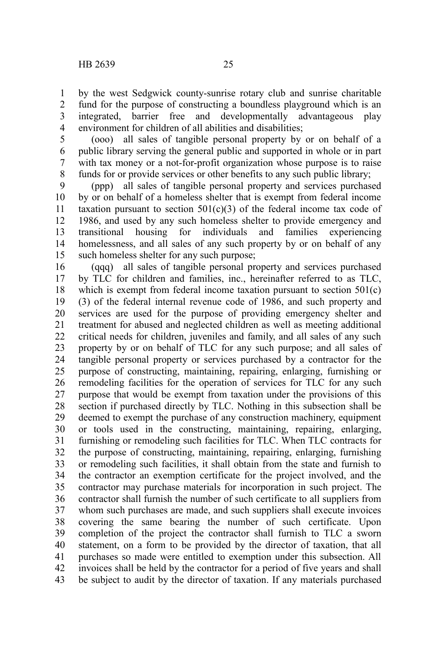by the west Sedgwick county-sunrise rotary club and sunrise charitable fund for the purpose of constructing a boundless playground which is an integrated, barrier free and developmentally advantageous play environment for children of all abilities and disabilities; 1 2 3 4

(ooo) all sales of tangible personal property by or on behalf of a public library serving the general public and supported in whole or in part with tax money or a not-for-profit organization whose purpose is to raise funds for or provide services or other benefits to any such public library; 5 6 7 8

(ppp) all sales of tangible personal property and services purchased by or on behalf of a homeless shelter that is exempt from federal income taxation pursuant to section  $501(c)(3)$  of the federal income tax code of 1986, and used by any such homeless shelter to provide emergency and transitional housing for individuals and families experiencing homelessness, and all sales of any such property by or on behalf of any such homeless shelter for any such purpose; 9 10 11 12 13 14 15

(qqq) all sales of tangible personal property and services purchased by TLC for children and families, inc., hereinafter referred to as TLC, which is exempt from federal income taxation pursuant to section 501(c) (3) of the federal internal revenue code of 1986, and such property and services are used for the purpose of providing emergency shelter and treatment for abused and neglected children as well as meeting additional critical needs for children, juveniles and family, and all sales of any such property by or on behalf of TLC for any such purpose; and all sales of tangible personal property or services purchased by a contractor for the purpose of constructing, maintaining, repairing, enlarging, furnishing or remodeling facilities for the operation of services for TLC for any such purpose that would be exempt from taxation under the provisions of this section if purchased directly by TLC. Nothing in this subsection shall be deemed to exempt the purchase of any construction machinery, equipment or tools used in the constructing, maintaining, repairing, enlarging, furnishing or remodeling such facilities for TLC. When TLC contracts for the purpose of constructing, maintaining, repairing, enlarging, furnishing or remodeling such facilities, it shall obtain from the state and furnish to the contractor an exemption certificate for the project involved, and the contractor may purchase materials for incorporation in such project. The contractor shall furnish the number of such certificate to all suppliers from whom such purchases are made, and such suppliers shall execute invoices covering the same bearing the number of such certificate. Upon completion of the project the contractor shall furnish to TLC a sworn statement, on a form to be provided by the director of taxation, that all purchases so made were entitled to exemption under this subsection. All invoices shall be held by the contractor for a period of five years and shall be subject to audit by the director of taxation. If any materials purchased 16 17 18 19 20 21 22 23 24 25 26 27 28 29 30 31 32 33 34 35 36 37 38 39 40 41 42 43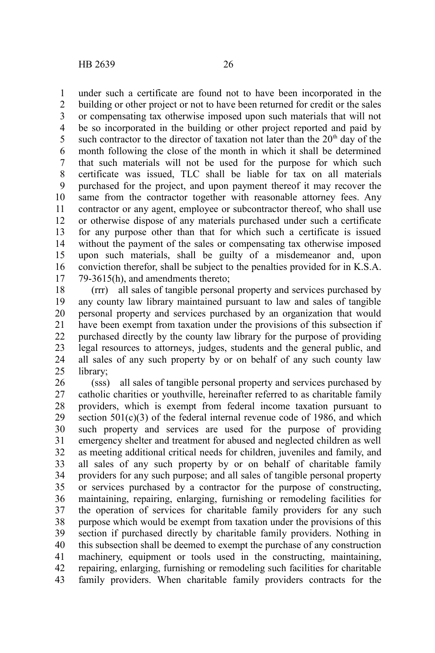under such a certificate are found not to have been incorporated in the building or other project or not to have been returned for credit or the sales or compensating tax otherwise imposed upon such materials that will not be so incorporated in the building or other project reported and paid by such contractor to the director of taxation not later than the  $20<sup>th</sup>$  day of the month following the close of the month in which it shall be determined that such materials will not be used for the purpose for which such certificate was issued, TLC shall be liable for tax on all materials purchased for the project, and upon payment thereof it may recover the same from the contractor together with reasonable attorney fees. Any contractor or any agent, employee or subcontractor thereof, who shall use or otherwise dispose of any materials purchased under such a certificate for any purpose other than that for which such a certificate is issued without the payment of the sales or compensating tax otherwise imposed upon such materials, shall be guilty of a misdemeanor and, upon conviction therefor, shall be subject to the penalties provided for in K.S.A. 79-3615(h), and amendments thereto; 1 2 3 4 5 6 7 8 9 10 11 12 13 14 15 16 17

(rrr) all sales of tangible personal property and services purchased by any county law library maintained pursuant to law and sales of tangible personal property and services purchased by an organization that would have been exempt from taxation under the provisions of this subsection if purchased directly by the county law library for the purpose of providing legal resources to attorneys, judges, students and the general public, and all sales of any such property by or on behalf of any such county law library; 18 19 20 21 22 23 24 25

(sss) all sales of tangible personal property and services purchased by catholic charities or youthville, hereinafter referred to as charitable family providers, which is exempt from federal income taxation pursuant to section  $501(c)(3)$  of the federal internal revenue code of 1986, and which such property and services are used for the purpose of providing emergency shelter and treatment for abused and neglected children as well as meeting additional critical needs for children, juveniles and family, and all sales of any such property by or on behalf of charitable family providers for any such purpose; and all sales of tangible personal property or services purchased by a contractor for the purpose of constructing, maintaining, repairing, enlarging, furnishing or remodeling facilities for the operation of services for charitable family providers for any such purpose which would be exempt from taxation under the provisions of this section if purchased directly by charitable family providers. Nothing in this subsection shall be deemed to exempt the purchase of any construction machinery, equipment or tools used in the constructing, maintaining, repairing, enlarging, furnishing or remodeling such facilities for charitable family providers. When charitable family providers contracts for the 26 27 28 29 30 31 32 33 34 35 36 37 38 39 40 41 42 43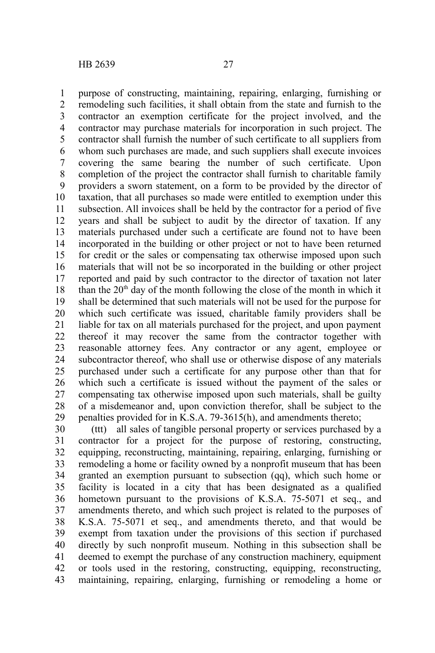purpose of constructing, maintaining, repairing, enlarging, furnishing or remodeling such facilities, it shall obtain from the state and furnish to the contractor an exemption certificate for the project involved, and the contractor may purchase materials for incorporation in such project. The contractor shall furnish the number of such certificate to all suppliers from whom such purchases are made, and such suppliers shall execute invoices covering the same bearing the number of such certificate. Upon completion of the project the contractor shall furnish to charitable family providers a sworn statement, on a form to be provided by the director of taxation, that all purchases so made were entitled to exemption under this subsection. All invoices shall be held by the contractor for a period of five years and shall be subject to audit by the director of taxation. If any materials purchased under such a certificate are found not to have been incorporated in the building or other project or not to have been returned for credit or the sales or compensating tax otherwise imposed upon such materials that will not be so incorporated in the building or other project reported and paid by such contractor to the director of taxation not later than the  $20<sup>th</sup>$  day of the month following the close of the month in which it shall be determined that such materials will not be used for the purpose for which such certificate was issued, charitable family providers shall be liable for tax on all materials purchased for the project, and upon payment thereof it may recover the same from the contractor together with reasonable attorney fees. Any contractor or any agent, employee or subcontractor thereof, who shall use or otherwise dispose of any materials purchased under such a certificate for any purpose other than that for which such a certificate is issued without the payment of the sales or compensating tax otherwise imposed upon such materials, shall be guilty of a misdemeanor and, upon conviction therefor, shall be subject to the penalties provided for in K.S.A. 79-3615(h), and amendments thereto; 1 2 3 4 5 6 7 8 9 10 11 12 13 14 15 16 17 18 19 20 21 22 23 24 25 26 27 28 29

(ttt) all sales of tangible personal property or services purchased by a contractor for a project for the purpose of restoring, constructing, equipping, reconstructing, maintaining, repairing, enlarging, furnishing or remodeling a home or facility owned by a nonprofit museum that has been granted an exemption pursuant to subsection (qq), which such home or facility is located in a city that has been designated as a qualified hometown pursuant to the provisions of K.S.A. 75-5071 et seq., and amendments thereto, and which such project is related to the purposes of K.S.A. 75-5071 et seq., and amendments thereto, and that would be exempt from taxation under the provisions of this section if purchased directly by such nonprofit museum. Nothing in this subsection shall be deemed to exempt the purchase of any construction machinery, equipment or tools used in the restoring, constructing, equipping, reconstructing, maintaining, repairing, enlarging, furnishing or remodeling a home or 30 31 32 33 34 35 36 37 38 39 40 41 42 43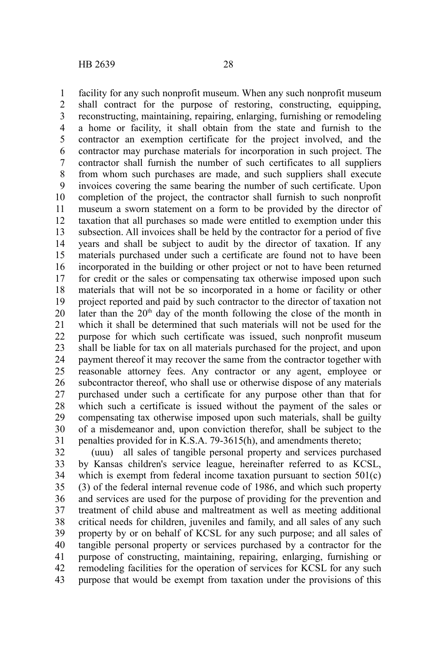facility for any such nonprofit museum. When any such nonprofit museum shall contract for the purpose of restoring, constructing, equipping, reconstructing, maintaining, repairing, enlarging, furnishing or remodeling a home or facility, it shall obtain from the state and furnish to the contractor an exemption certificate for the project involved, and the contractor may purchase materials for incorporation in such project. The contractor shall furnish the number of such certificates to all suppliers from whom such purchases are made, and such suppliers shall execute invoices covering the same bearing the number of such certificate. Upon completion of the project, the contractor shall furnish to such nonprofit museum a sworn statement on a form to be provided by the director of taxation that all purchases so made were entitled to exemption under this subsection. All invoices shall be held by the contractor for a period of five years and shall be subject to audit by the director of taxation. If any materials purchased under such a certificate are found not to have been incorporated in the building or other project or not to have been returned for credit or the sales or compensating tax otherwise imposed upon such materials that will not be so incorporated in a home or facility or other project reported and paid by such contractor to the director of taxation not later than the  $20<sup>th</sup>$  day of the month following the close of the month in which it shall be determined that such materials will not be used for the purpose for which such certificate was issued, such nonprofit museum shall be liable for tax on all materials purchased for the project, and upon payment thereof it may recover the same from the contractor together with reasonable attorney fees. Any contractor or any agent, employee or subcontractor thereof, who shall use or otherwise dispose of any materials purchased under such a certificate for any purpose other than that for which such a certificate is issued without the payment of the sales or compensating tax otherwise imposed upon such materials, shall be guilty of a misdemeanor and, upon conviction therefor, shall be subject to the penalties provided for in K.S.A. 79-3615(h), and amendments thereto; 1 2 3 4 5 6 7 8 9 10 11 12 13 14 15 16 17 18 19 20 21 22 23 24 25 26 27 28 29 30 31

(uuu) all sales of tangible personal property and services purchased by Kansas children's service league, hereinafter referred to as KCSL, which is exempt from federal income taxation pursuant to section 501(c) (3) of the federal internal revenue code of 1986, and which such property and services are used for the purpose of providing for the prevention and treatment of child abuse and maltreatment as well as meeting additional critical needs for children, juveniles and family, and all sales of any such property by or on behalf of KCSL for any such purpose; and all sales of tangible personal property or services purchased by a contractor for the purpose of constructing, maintaining, repairing, enlarging, furnishing or remodeling facilities for the operation of services for KCSL for any such purpose that would be exempt from taxation under the provisions of this 32 33 34 35 36 37 38 39 40 41 42 43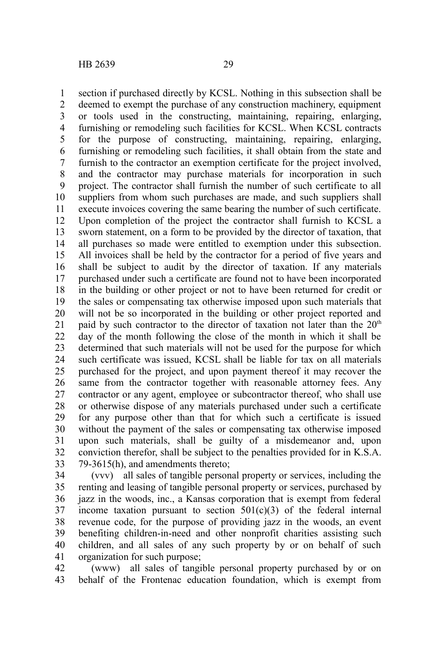section if purchased directly by KCSL. Nothing in this subsection shall be deemed to exempt the purchase of any construction machinery, equipment or tools used in the constructing, maintaining, repairing, enlarging, furnishing or remodeling such facilities for KCSL. When KCSL contracts for the purpose of constructing, maintaining, repairing, enlarging, furnishing or remodeling such facilities, it shall obtain from the state and furnish to the contractor an exemption certificate for the project involved, and the contractor may purchase materials for incorporation in such project. The contractor shall furnish the number of such certificate to all suppliers from whom such purchases are made, and such suppliers shall execute invoices covering the same bearing the number of such certificate. Upon completion of the project the contractor shall furnish to KCSL a sworn statement, on a form to be provided by the director of taxation, that all purchases so made were entitled to exemption under this subsection. All invoices shall be held by the contractor for a period of five years and shall be subject to audit by the director of taxation. If any materials purchased under such a certificate are found not to have been incorporated in the building or other project or not to have been returned for credit or the sales or compensating tax otherwise imposed upon such materials that will not be so incorporated in the building or other project reported and paid by such contractor to the director of taxation not later than the  $20<sup>th</sup>$ day of the month following the close of the month in which it shall be determined that such materials will not be used for the purpose for which such certificate was issued, KCSL shall be liable for tax on all materials purchased for the project, and upon payment thereof it may recover the same from the contractor together with reasonable attorney fees. Any contractor or any agent, employee or subcontractor thereof, who shall use or otherwise dispose of any materials purchased under such a certificate for any purpose other than that for which such a certificate is issued without the payment of the sales or compensating tax otherwise imposed upon such materials, shall be guilty of a misdemeanor and, upon conviction therefor, shall be subject to the penalties provided for in K.S.A. 79-3615(h), and amendments thereto; 1 2 3 4 5 6 7 8 9 10 11 12 13 14 15 16 17 18 19 20 21 22 23 24 25 26 27 28 29 30 31 32 33

(vvv) all sales of tangible personal property or services, including the renting and leasing of tangible personal property or services, purchased by jazz in the woods, inc., a Kansas corporation that is exempt from federal income taxation pursuant to section  $501(c)(3)$  of the federal internal revenue code, for the purpose of providing jazz in the woods, an event benefiting children-in-need and other nonprofit charities assisting such children, and all sales of any such property by or on behalf of such organization for such purpose; 34 35 36 37 38 39 40 41

(www) all sales of tangible personal property purchased by or on behalf of the Frontenac education foundation, which is exempt from 42 43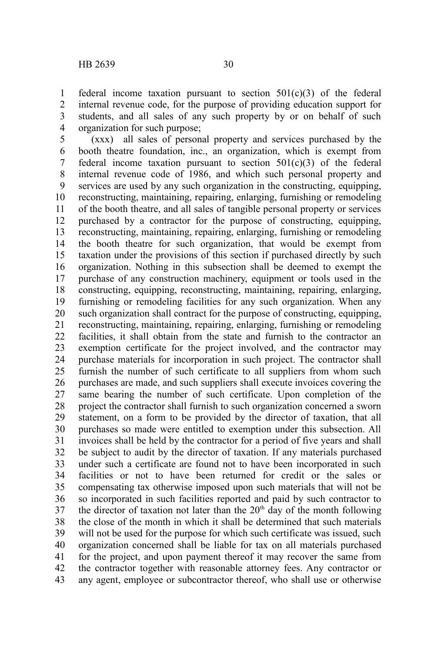federal income taxation pursuant to section 501(c)(3) of the federal internal revenue code, for the purpose of providing education support for students, and all sales of any such property by or on behalf of such organization for such purpose; 1 2 3 4

(xxx) all sales of personal property and services purchased by the booth theatre foundation, inc., an organization, which is exempt from federal income taxation pursuant to section  $501(c)(3)$  of the federal internal revenue code of 1986, and which such personal property and services are used by any such organization in the constructing, equipping, reconstructing, maintaining, repairing, enlarging, furnishing or remodeling of the booth theatre, and all sales of tangible personal property or services purchased by a contractor for the purpose of constructing, equipping, reconstructing, maintaining, repairing, enlarging, furnishing or remodeling the booth theatre for such organization, that would be exempt from taxation under the provisions of this section if purchased directly by such organization. Nothing in this subsection shall be deemed to exempt the purchase of any construction machinery, equipment or tools used in the constructing, equipping, reconstructing, maintaining, repairing, enlarging, furnishing or remodeling facilities for any such organization. When any such organization shall contract for the purpose of constructing, equipping, reconstructing, maintaining, repairing, enlarging, furnishing or remodeling facilities, it shall obtain from the state and furnish to the contractor an exemption certificate for the project involved, and the contractor may purchase materials for incorporation in such project. The contractor shall furnish the number of such certificate to all suppliers from whom such purchases are made, and such suppliers shall execute invoices covering the same bearing the number of such certificate. Upon completion of the project the contractor shall furnish to such organization concerned a sworn statement, on a form to be provided by the director of taxation, that all purchases so made were entitled to exemption under this subsection. All invoices shall be held by the contractor for a period of five years and shall be subject to audit by the director of taxation. If any materials purchased under such a certificate are found not to have been incorporated in such facilities or not to have been returned for credit or the sales or compensating tax otherwise imposed upon such materials that will not be so incorporated in such facilities reported and paid by such contractor to the director of taxation not later than the  $20<sup>th</sup>$  day of the month following the close of the month in which it shall be determined that such materials will not be used for the purpose for which such certificate was issued, such organization concerned shall be liable for tax on all materials purchased for the project, and upon payment thereof it may recover the same from the contractor together with reasonable attorney fees. Any contractor or any agent, employee or subcontractor thereof, who shall use or otherwise 5 6 7 8 9 10 11 12 13 14 15 16 17 18 19 20 21 22 23 24 25 26 27 28 29 30 31 32 33 34 35 36 37 38 39 40 41 42 43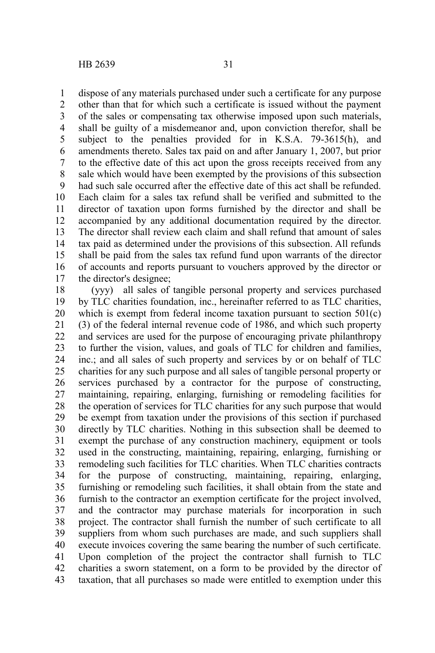dispose of any materials purchased under such a certificate for any purpose 1

other than that for which such a certificate is issued without the payment of the sales or compensating tax otherwise imposed upon such materials, shall be guilty of a misdemeanor and, upon conviction therefor, shall be subject to the penalties provided for in K.S.A. 79-3615(h), and amendments thereto. Sales tax paid on and after January 1, 2007, but prior to the effective date of this act upon the gross receipts received from any sale which would have been exempted by the provisions of this subsection had such sale occurred after the effective date of this act shall be refunded. Each claim for a sales tax refund shall be verified and submitted to the director of taxation upon forms furnished by the director and shall be accompanied by any additional documentation required by the director. The director shall review each claim and shall refund that amount of sales tax paid as determined under the provisions of this subsection. All refunds shall be paid from the sales tax refund fund upon warrants of the director of accounts and reports pursuant to vouchers approved by the director or the director's designee; 2 3 4 5 6 7 8 9 10 11 12 13 14 15 16 17

(yyy) all sales of tangible personal property and services purchased by TLC charities foundation, inc., hereinafter referred to as TLC charities, which is exempt from federal income taxation pursuant to section  $501(c)$ (3) of the federal internal revenue code of 1986, and which such property and services are used for the purpose of encouraging private philanthropy to further the vision, values, and goals of TLC for children and families, inc.; and all sales of such property and services by or on behalf of TLC charities for any such purpose and all sales of tangible personal property or services purchased by a contractor for the purpose of constructing, maintaining, repairing, enlarging, furnishing or remodeling facilities for the operation of services for TLC charities for any such purpose that would be exempt from taxation under the provisions of this section if purchased directly by TLC charities. Nothing in this subsection shall be deemed to exempt the purchase of any construction machinery, equipment or tools used in the constructing, maintaining, repairing, enlarging, furnishing or remodeling such facilities for TLC charities. When TLC charities contracts for the purpose of constructing, maintaining, repairing, enlarging, furnishing or remodeling such facilities, it shall obtain from the state and furnish to the contractor an exemption certificate for the project involved, and the contractor may purchase materials for incorporation in such project. The contractor shall furnish the number of such certificate to all suppliers from whom such purchases are made, and such suppliers shall execute invoices covering the same bearing the number of such certificate. Upon completion of the project the contractor shall furnish to TLC charities a sworn statement, on a form to be provided by the director of taxation, that all purchases so made were entitled to exemption under this 18 19 20 21 22 23 24 25 26 27 28 29 30 31 32 33 34 35 36 37 38 39 40 41 42 43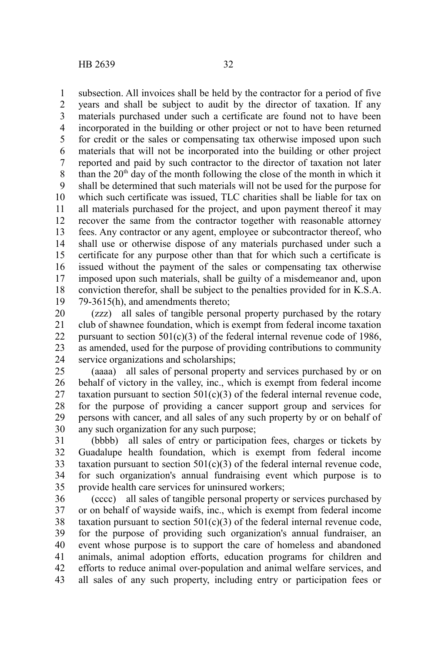subsection. All invoices shall be held by the contractor for a period of five years and shall be subject to audit by the director of taxation. If any materials purchased under such a certificate are found not to have been incorporated in the building or other project or not to have been returned for credit or the sales or compensating tax otherwise imposed upon such materials that will not be incorporated into the building or other project reported and paid by such contractor to the director of taxation not later than the  $20<sup>th</sup>$  day of the month following the close of the month in which it shall be determined that such materials will not be used for the purpose for which such certificate was issued, TLC charities shall be liable for tax on all materials purchased for the project, and upon payment thereof it may recover the same from the contractor together with reasonable attorney fees. Any contractor or any agent, employee or subcontractor thereof, who shall use or otherwise dispose of any materials purchased under such a certificate for any purpose other than that for which such a certificate is issued without the payment of the sales or compensating tax otherwise imposed upon such materials, shall be guilty of a misdemeanor and, upon conviction therefor, shall be subject to the penalties provided for in K.S.A. 79-3615(h), and amendments thereto; 1 2 3 4 5 6 7 8 9 10 11 12 13 14 15 16 17 18 19

(zzz) all sales of tangible personal property purchased by the rotary club of shawnee foundation, which is exempt from federal income taxation pursuant to section  $501(c)(3)$  of the federal internal revenue code of 1986, as amended, used for the purpose of providing contributions to community service organizations and scholarships; 20 21 22 23 24

(aaaa) all sales of personal property and services purchased by or on behalf of victory in the valley, inc., which is exempt from federal income taxation pursuant to section  $501(c)(3)$  of the federal internal revenue code, for the purpose of providing a cancer support group and services for persons with cancer, and all sales of any such property by or on behalf of any such organization for any such purpose; 25 26 27 28 29 30

(bbbb) all sales of entry or participation fees, charges or tickets by Guadalupe health foundation, which is exempt from federal income taxation pursuant to section  $501(c)(3)$  of the federal internal revenue code, for such organization's annual fundraising event which purpose is to provide health care services for uninsured workers; 31 32 33 34 35

(cccc) all sales of tangible personal property or services purchased by or on behalf of wayside waifs, inc., which is exempt from federal income taxation pursuant to section  $501(c)(3)$  of the federal internal revenue code, for the purpose of providing such organization's annual fundraiser, an event whose purpose is to support the care of homeless and abandoned animals, animal adoption efforts, education programs for children and efforts to reduce animal over-population and animal welfare services, and all sales of any such property, including entry or participation fees or 36 37 38 39 40 41 42 43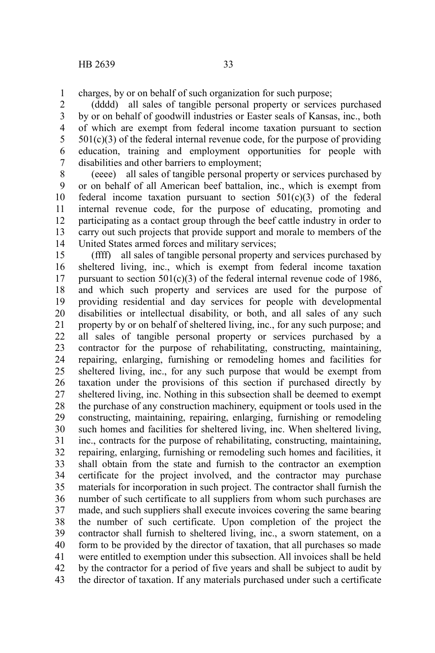charges, by or on behalf of such organization for such purpose; 1

(dddd) all sales of tangible personal property or services purchased by or on behalf of goodwill industries or Easter seals of Kansas, inc., both of which are exempt from federal income taxation pursuant to section  $501(c)(3)$  of the federal internal revenue code, for the purpose of providing education, training and employment opportunities for people with disabilities and other barriers to employment; 2 3 4 5 6 7

(eeee) all sales of tangible personal property or services purchased by or on behalf of all American beef battalion, inc., which is exempt from federal income taxation pursuant to section  $501(c)(3)$  of the federal internal revenue code, for the purpose of educating, promoting and participating as a contact group through the beef cattle industry in order to carry out such projects that provide support and morale to members of the United States armed forces and military services; 8 9 10 11 12 13 14

(ffff) all sales of tangible personal property and services purchased by sheltered living, inc., which is exempt from federal income taxation pursuant to section  $501(c)(3)$  of the federal internal revenue code of 1986. and which such property and services are used for the purpose of providing residential and day services for people with developmental disabilities or intellectual disability, or both, and all sales of any such property by or on behalf of sheltered living, inc., for any such purpose; and all sales of tangible personal property or services purchased by a contractor for the purpose of rehabilitating, constructing, maintaining, repairing, enlarging, furnishing or remodeling homes and facilities for sheltered living, inc., for any such purpose that would be exempt from taxation under the provisions of this section if purchased directly by sheltered living, inc. Nothing in this subsection shall be deemed to exempt the purchase of any construction machinery, equipment or tools used in the constructing, maintaining, repairing, enlarging, furnishing or remodeling such homes and facilities for sheltered living, inc. When sheltered living, inc., contracts for the purpose of rehabilitating, constructing, maintaining, repairing, enlarging, furnishing or remodeling such homes and facilities, it shall obtain from the state and furnish to the contractor an exemption certificate for the project involved, and the contractor may purchase materials for incorporation in such project. The contractor shall furnish the number of such certificate to all suppliers from whom such purchases are made, and such suppliers shall execute invoices covering the same bearing the number of such certificate. Upon completion of the project the contractor shall furnish to sheltered living, inc., a sworn statement, on a form to be provided by the director of taxation, that all purchases so made were entitled to exemption under this subsection. All invoices shall be held by the contractor for a period of five years and shall be subject to audit by the director of taxation. If any materials purchased under such a certificate 15 16 17 18 19 20 21 22 23 24 25 26 27 28 29 30 31 32 33 34 35 36 37 38 39 40 41 42 43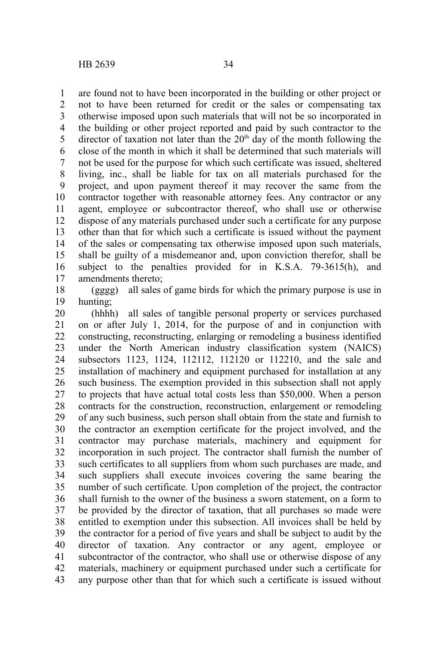are found not to have been incorporated in the building or other project or not to have been returned for credit or the sales or compensating tax otherwise imposed upon such materials that will not be so incorporated in the building or other project reported and paid by such contractor to the director of taxation not later than the  $20<sup>th</sup>$  day of the month following the close of the month in which it shall be determined that such materials will not be used for the purpose for which such certificate was issued, sheltered living, inc., shall be liable for tax on all materials purchased for the project, and upon payment thereof it may recover the same from the contractor together with reasonable attorney fees. Any contractor or any agent, employee or subcontractor thereof, who shall use or otherwise dispose of any materials purchased under such a certificate for any purpose other than that for which such a certificate is issued without the payment of the sales or compensating tax otherwise imposed upon such materials, shall be guilty of a misdemeanor and, upon conviction therefor, shall be subject to the penalties provided for in K.S.A. 79-3615(h), and amendments thereto; 1 2 3 4 5 6 7 8 9 10 11 12 13 14 15 16 17

(gggg) all sales of game birds for which the primary purpose is use in hunting; 18 19

(hhhh) all sales of tangible personal property or services purchased on or after July 1, 2014, for the purpose of and in conjunction with constructing, reconstructing, enlarging or remodeling a business identified under the North American industry classification system (NAICS) subsectors 1123, 1124, 112112, 112120 or 112210, and the sale and installation of machinery and equipment purchased for installation at any such business. The exemption provided in this subsection shall not apply to projects that have actual total costs less than \$50,000. When a person contracts for the construction, reconstruction, enlargement or remodeling of any such business, such person shall obtain from the state and furnish to the contractor an exemption certificate for the project involved, and the contractor may purchase materials, machinery and equipment for incorporation in such project. The contractor shall furnish the number of such certificates to all suppliers from whom such purchases are made, and such suppliers shall execute invoices covering the same bearing the number of such certificate. Upon completion of the project, the contractor shall furnish to the owner of the business a sworn statement, on a form to be provided by the director of taxation, that all purchases so made were entitled to exemption under this subsection. All invoices shall be held by the contractor for a period of five years and shall be subject to audit by the director of taxation. Any contractor or any agent, employee or subcontractor of the contractor, who shall use or otherwise dispose of any materials, machinery or equipment purchased under such a certificate for any purpose other than that for which such a certificate is issued without 20 21 22 23 24 25 26 27 28 29 30 31 32 33 34 35 36 37 38 39 40 41 42 43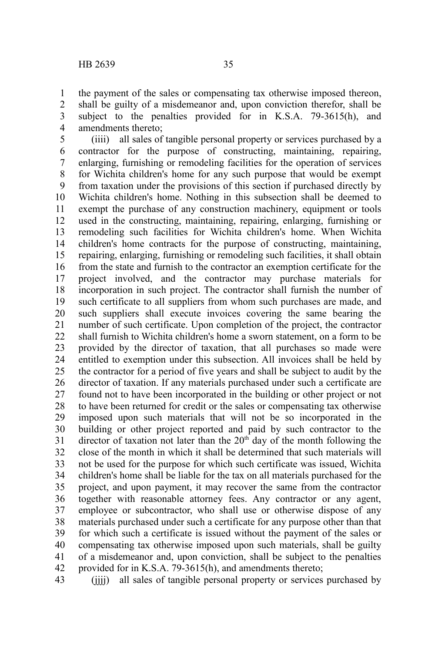the payment of the sales or compensating tax otherwise imposed thereon, shall be guilty of a misdemeanor and, upon conviction therefor, shall be subject to the penalties provided for in K.S.A. 79-3615(h), and amendments thereto; 1 2 3 4

(iiii) all sales of tangible personal property or services purchased by a contractor for the purpose of constructing, maintaining, repairing, enlarging, furnishing or remodeling facilities for the operation of services for Wichita children's home for any such purpose that would be exempt from taxation under the provisions of this section if purchased directly by Wichita children's home. Nothing in this subsection shall be deemed to exempt the purchase of any construction machinery, equipment or tools used in the constructing, maintaining, repairing, enlarging, furnishing or remodeling such facilities for Wichita children's home. When Wichita children's home contracts for the purpose of constructing, maintaining, repairing, enlarging, furnishing or remodeling such facilities, it shall obtain from the state and furnish to the contractor an exemption certificate for the project involved, and the contractor may purchase materials for incorporation in such project. The contractor shall furnish the number of such certificate to all suppliers from whom such purchases are made, and such suppliers shall execute invoices covering the same bearing the number of such certificate. Upon completion of the project, the contractor shall furnish to Wichita children's home a sworn statement, on a form to be provided by the director of taxation, that all purchases so made were entitled to exemption under this subsection. All invoices shall be held by the contractor for a period of five years and shall be subject to audit by the director of taxation. If any materials purchased under such a certificate are found not to have been incorporated in the building or other project or not to have been returned for credit or the sales or compensating tax otherwise imposed upon such materials that will not be so incorporated in the building or other project reported and paid by such contractor to the director of taxation not later than the  $20<sup>th</sup>$  day of the month following the close of the month in which it shall be determined that such materials will not be used for the purpose for which such certificate was issued, Wichita children's home shall be liable for the tax on all materials purchased for the project, and upon payment, it may recover the same from the contractor together with reasonable attorney fees. Any contractor or any agent, employee or subcontractor, who shall use or otherwise dispose of any materials purchased under such a certificate for any purpose other than that for which such a certificate is issued without the payment of the sales or compensating tax otherwise imposed upon such materials, shall be guilty of a misdemeanor and, upon conviction, shall be subject to the penalties provided for in K.S.A. 79-3615(h), and amendments thereto; 5 6 7 8 9 10 11 12 13 14 15 16 17 18 19 20 21 22 23 24 25 26 27 28 29 30 31 32 33 34 35 36 37 38 39 40 41 42

(iiii) all sales of tangible personal property or services purchased by 43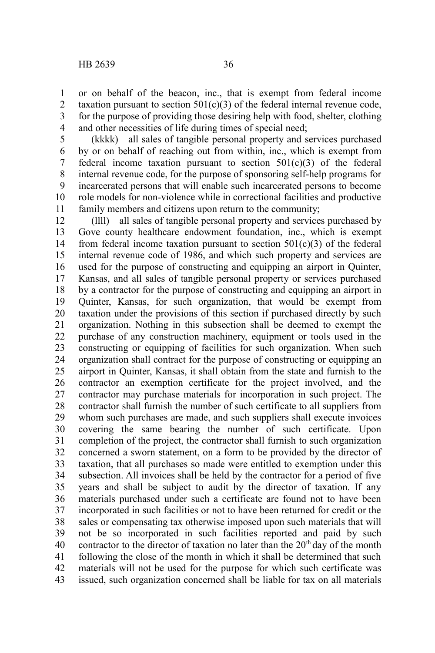or on behalf of the beacon, inc., that is exempt from federal income taxation pursuant to section  $501(c)(3)$  of the federal internal revenue code, for the purpose of providing those desiring help with food, shelter, clothing and other necessities of life during times of special need; 1 2 3 4

(kkkk) all sales of tangible personal property and services purchased by or on behalf of reaching out from within, inc., which is exempt from federal income taxation pursuant to section  $501(c)(3)$  of the federal internal revenue code, for the purpose of sponsoring self-help programs for incarcerated persons that will enable such incarcerated persons to become role models for non-violence while in correctional facilities and productive family members and citizens upon return to the community; 5 6 7 8 9 10 11

(llll) all sales of tangible personal property and services purchased by Gove county healthcare endowment foundation, inc., which is exempt from federal income taxation pursuant to section  $501(c)(3)$  of the federal internal revenue code of 1986, and which such property and services are used for the purpose of constructing and equipping an airport in Quinter, Kansas, and all sales of tangible personal property or services purchased by a contractor for the purpose of constructing and equipping an airport in Quinter, Kansas, for such organization, that would be exempt from taxation under the provisions of this section if purchased directly by such organization. Nothing in this subsection shall be deemed to exempt the purchase of any construction machinery, equipment or tools used in the constructing or equipping of facilities for such organization. When such organization shall contract for the purpose of constructing or equipping an airport in Quinter, Kansas, it shall obtain from the state and furnish to the contractor an exemption certificate for the project involved, and the contractor may purchase materials for incorporation in such project. The contractor shall furnish the number of such certificate to all suppliers from whom such purchases are made, and such suppliers shall execute invoices covering the same bearing the number of such certificate. Upon completion of the project, the contractor shall furnish to such organization concerned a sworn statement, on a form to be provided by the director of taxation, that all purchases so made were entitled to exemption under this subsection. All invoices shall be held by the contractor for a period of five years and shall be subject to audit by the director of taxation. If any materials purchased under such a certificate are found not to have been incorporated in such facilities or not to have been returned for credit or the sales or compensating tax otherwise imposed upon such materials that will not be so incorporated in such facilities reported and paid by such contractor to the director of taxation no later than the  $20<sup>th</sup>$  day of the month following the close of the month in which it shall be determined that such materials will not be used for the purpose for which such certificate was issued, such organization concerned shall be liable for tax on all materials 12 13 14 15 16 17 18 19 20 21 22 23 24 25 26 27 28 29 30 31 32 33 34 35 36 37 38 39 40 41 42 43